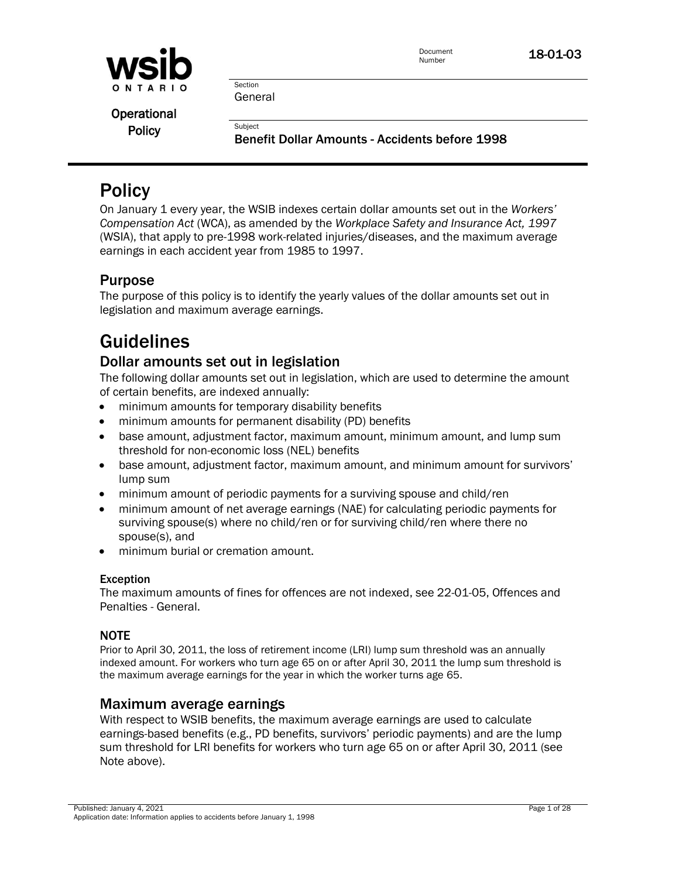

Operational

Policy<br>Benefit Dollar Amounts - Accidents before 1998

## **Policy**

On January 1 every year, the WSIB indexes certain dollar amounts set out in the *Workers' Compensation Act* (WCA), as amended by the *Workplace Safety and Insurance Act, 1997*  (WSIA), that apply to pre-1998 work-related injuries/diseases, and the maximum average earnings in each accident year from 1985 to 1997.

### Purpose

The purpose of this policy is to identify the yearly values of the dollar amounts set out in legislation and maximum average earnings.

## Guidelines

### Dollar amounts set out in legislation

The following dollar amounts set out in legislation, which are used to determine the amount of certain benefits, are indexed annually:

- minimum amounts for temporary disability benefits
- minimum amounts for permanent disability (PD) benefits
- base amount, adjustment factor, maximum amount, minimum amount, and lump sum threshold for non-economic loss (NEL) benefits
- base amount, adjustment factor, maximum amount, and minimum amount for survivors' lump sum
- minimum amount of periodic payments for a surviving spouse and child/ren
- minimum amount of net average earnings (NAE) for calculating periodic payments for surviving spouse(s) where no child/ren or for surviving child/ren where there no spouse(s), and
- minimum burial or cremation amount.

### Exception

The maximum amounts of fines for offences are not indexed, see 22-01-05, Offences and Penalties - General.

### **NOTE**

Prior to April 30, 2011, the loss of retirement income (LRI) lump sum threshold was an annually indexed amount. For workers who turn age 65 on or after April 30, 2011 the lump sum threshold is the maximum average earnings for the year in which the worker turns age 65.

### Maximum average earnings

With respect to WSIB benefits, the maximum average earnings are used to calculate earnings-based benefits (e.g., PD benefits, survivors' periodic payments) and are the lump sum threshold for LRI benefits for workers who turn age 65 on or after April 30, 2011 (see Note above).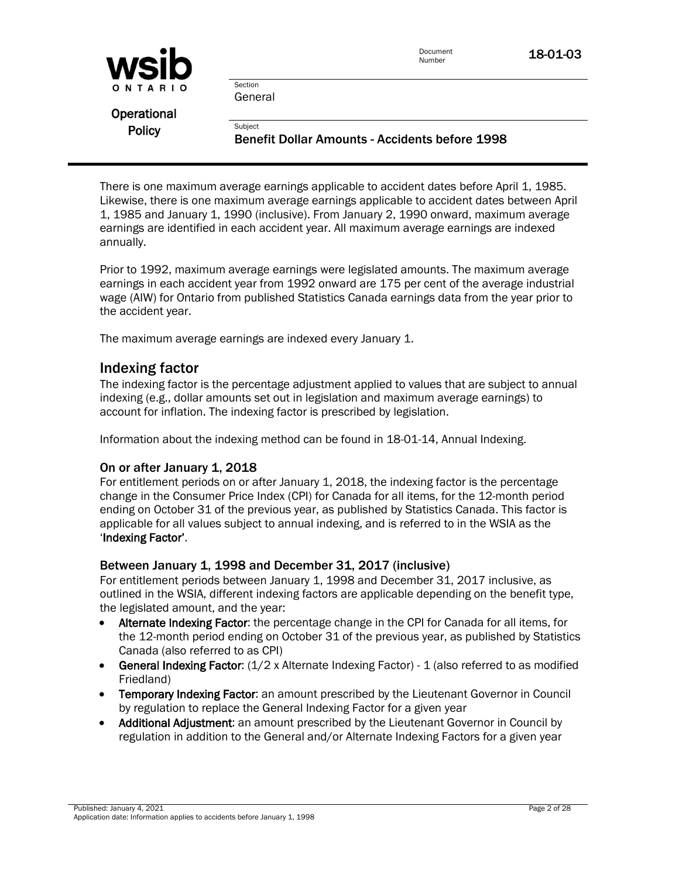| WSID          |                                                                  | Document<br>Number | 18-01-03 |
|---------------|------------------------------------------------------------------|--------------------|----------|
| ONTARIO       | Section<br>General                                               |                    |          |
| Operational   |                                                                  |                    |          |
| <b>Policy</b> | Subiect<br><b>Benefit Dollar Amounts - Accidents before 1998</b> |                    |          |

There is one maximum average earnings applicable to accident dates before April 1, 1985. Likewise, there is one maximum average earnings applicable to accident dates between April 1, 1985 and January 1, 1990 (inclusive). From January 2, 1990 onward, maximum average earnings are identified in each accident year. All maximum average earnings are indexed annually.

Prior to 1992, maximum average earnings were legislated amounts. The maximum average earnings in each accident year from 1992 onward are 175 per cent of the average industrial wage (AIW) for Ontario from published Statistics Canada earnings data from the year prior to the accident year.

The maximum average earnings are indexed every January 1.

### Indexing factor

The indexing factor is the percentage adjustment applied to values that are subject to annual indexing (e.g., dollar amounts set out in legislation and maximum average earnings) to account for inflation. The indexing factor is prescribed by legislation.

Information about the indexing method can be found in 18-01-14, Annual Indexing.

#### On or after January 1, 2018

For entitlement periods on or after January 1, 2018, the indexing factor is the percentage change in the Consumer Price Index (CPI) for Canada for all items, for the 12-month period ending on October 31 of the previous year, as published by Statistics Canada. This factor is applicable for all values subject to annual indexing, and is referred to in the WSIA as the 'Indexing Factor'.

#### Between January 1, 1998 and December 31, 2017 (inclusive)

For entitlement periods between January 1, 1998 and December 31, 2017 inclusive, as outlined in the WSIA, different indexing factors are applicable depending on the benefit type, the legislated amount, and the year:

- Alternate Indexing Factor: the percentage change in the CPI for Canada for all items, for the 12-month period ending on October 31 of the previous year, as published by Statistics Canada (also referred to as CPI)
- **General Indexing Factor:**  $(1/2 \times$  Alternate Indexing Factor) 1 (also referred to as modified Friedland)
- Temporary Indexing Factor: an amount prescribed by the Lieutenant Governor in Council by regulation to replace the General Indexing Factor for a given year
- Additional Adjustment: an amount prescribed by the Lieutenant Governor in Council by regulation in addition to the General and/or Alternate Indexing Factors for a given year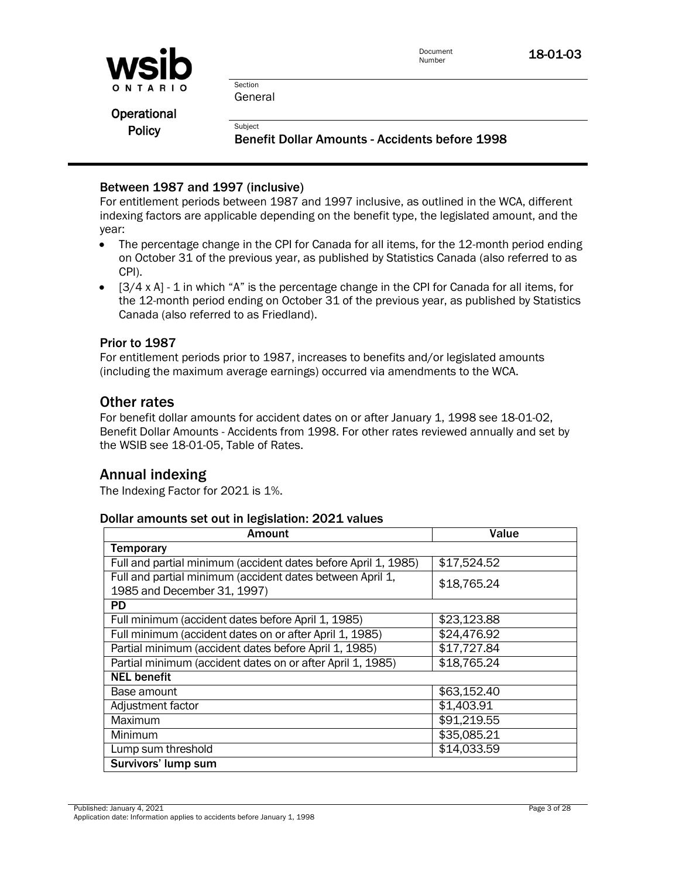

**Operational** 

Policy<br>Benefit Dollar Amounts - Accidents before 1998

### Between 1987 and 1997 (inclusive)

For entitlement periods between 1987 and 1997 inclusive, as outlined in the WCA, different indexing factors are applicable depending on the benefit type, the legislated amount, and the year:

- The percentage change in the CPI for Canada for all items, for the 12-month period ending on October 31 of the previous year, as published by Statistics Canada (also referred to as CPI).
- $\bullet$  [3/4 x A] 1 in which "A" is the percentage change in the CPI for Canada for all items, for the 12-month period ending on October 31 of the previous year, as published by Statistics Canada (also referred to as Friedland).

#### Prior to 1987

For entitlement periods prior to 1987, increases to benefits and/or legislated amounts (including the maximum average earnings) occurred via amendments to the WCA.

### Other rates

For benefit dollar amounts for accident dates on or after January 1, 1998 see 18-01-02, Benefit Dollar Amounts - Accidents from 1998. For other rates reviewed annually and set by the WSIB see 18-01-05, Table of Rates.

### Annual indexing

The Indexing Factor for 2021 is 1%.

#### Dollar amounts set out in legislation: 2021 values

| <b>Amount</b>                                                  | Value       |  |
|----------------------------------------------------------------|-------------|--|
| <b>Temporary</b>                                               |             |  |
| Full and partial minimum (accident dates before April 1, 1985) | \$17,524.52 |  |
| Full and partial minimum (accident dates between April 1,      | \$18,765.24 |  |
| 1985 and December 31, 1997)                                    |             |  |
| <b>PD</b>                                                      |             |  |
| Full minimum (accident dates before April 1, 1985)             | \$23,123.88 |  |
| Full minimum (accident dates on or after April 1, 1985)        | \$24,476.92 |  |
| Partial minimum (accident dates before April 1, 1985)          | \$17,727.84 |  |
| Partial minimum (accident dates on or after April 1, 1985)     | \$18,765.24 |  |
| <b>NEL benefit</b>                                             |             |  |
| Base amount                                                    | \$63,152.40 |  |
| Adjustment factor                                              | \$1,403.91  |  |
| Maximum                                                        | \$91,219.55 |  |
| Minimum                                                        | \$35,085.21 |  |
| Lump sum threshold                                             | \$14,033.59 |  |
| Survivors' lump sum                                            |             |  |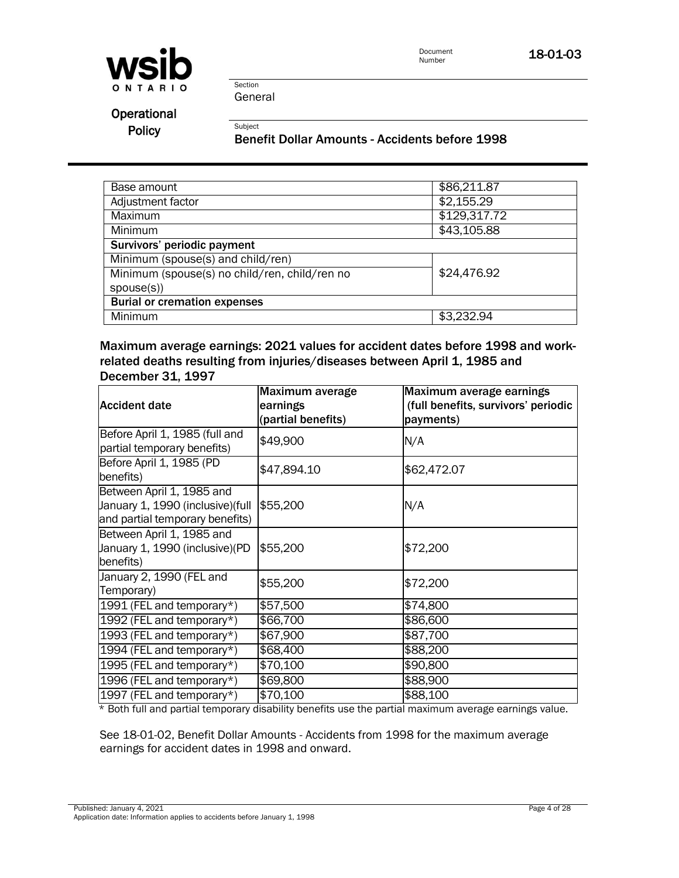

Section General

Operational

Policy<br>Benefit Dollar Amounts - Accidents before 1998

| Base amount                                                  | \$86,211.87  |
|--------------------------------------------------------------|--------------|
|                                                              |              |
| Adjustment factor                                            | \$2,155.29   |
| <b>Maximum</b>                                               | \$129,317.72 |
| Minimum                                                      | \$43,105.88  |
| Survivors' periodic payment                                  |              |
| Minimum (spouse(s) and child/ren)                            |              |
| \$24,476.92<br>Minimum (spouse(s) no child/ren, child/ren no |              |
| spouse(s)                                                    |              |
| <b>Burial or cremation expenses</b>                          |              |
| Minimum                                                      | \$3,232.94   |

Maximum average earnings: 2021 values for accident dates before 1998 and workrelated deaths resulting from injuries/diseases between April 1, 1985 and December 31, 1997

| <b>Accident date</b>                                                                              | Maximum average<br>earnings<br>(partial benefits) | Maximum average earnings<br>(full benefits, survivors' periodic<br>payments) |
|---------------------------------------------------------------------------------------------------|---------------------------------------------------|------------------------------------------------------------------------------|
| Before April 1, 1985 (full and<br>partial temporary benefits)                                     | \$49,900                                          | N/A                                                                          |
| Before April 1, 1985 (PD<br>benefits)                                                             | \$47,894.10                                       | \$62,472.07                                                                  |
| Between April 1, 1985 and<br>January 1, 1990 (inclusive) (full<br>and partial temporary benefits) | \$55,200                                          | N/A                                                                          |
| Between April 1, 1985 and<br>January 1, 1990 (inclusive) (PD<br>benefits)                         | \$55,200                                          | \$72,200                                                                     |
| January 2, 1990 (FEL and<br>Temporary)                                                            | \$55,200                                          | \$72,200                                                                     |
| 1991 (FEL and temporary*)                                                                         | \$57,500                                          | \$74,800                                                                     |
| 1992 (FEL and temporary*)                                                                         | \$66,700                                          | \$86,600                                                                     |
| 1993 (FEL and temporary*)                                                                         | \$67,900                                          | \$87,700                                                                     |
| 1994 (FEL and temporary*)                                                                         | \$68,400                                          | \$88,200                                                                     |
| 1995 (FEL and temporary*)                                                                         | \$70,100                                          | \$90,800                                                                     |
| 1996 (FEL and temporary*)                                                                         | \$69,800                                          | \$88,900                                                                     |
| 1997 (FEL and temporary*)                                                                         | \$70,100                                          | \$88,100                                                                     |

\* Both full and partial temporary disability benefits use the partial maximum average earnings value. \* Both full and partial temporary disability benefits use the partial maximum average earnings value.

See 18-01-02, Benefit Dollar Amounts - Accidents from 1998 for the maximum average earnings for accident dates in 1998 and onward.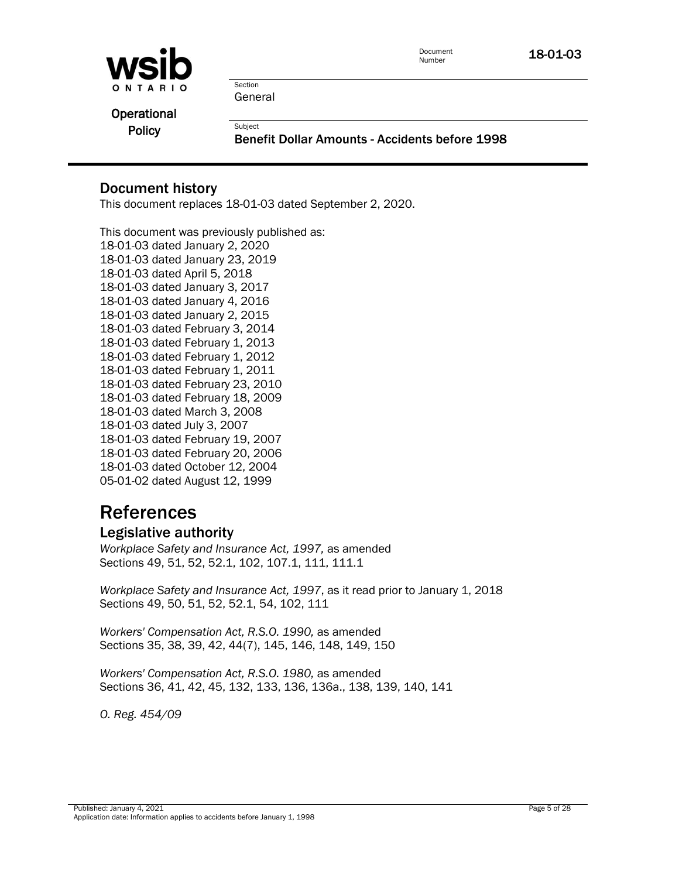

Section General

**Operational** 

Policy<br>Benefit Dollar Amounts - Accidents before 1998

### Document history

This document replaces 18-01-03 dated September 2, 2020.

This document was previously published as: 18-01-03 dated January 2, 2020 18-01-03 dated January 23, 2019 18-01-03 dated April 5, 2018 18-01-03 dated January 3, 2017 18-01-03 dated January 4, 2016 18-01-03 dated January 2, 2015 18-01-03 dated February 3, 2014 18-01-03 dated February 1, 2013 18-01-03 dated February 1, 2012 18-01-03 dated February 1, 2011 18-01-03 dated February 23, 2010 18-01-03 dated February 18, 2009 18-01-03 dated March 3, 2008 18-01-03 dated July 3, 2007 18-01-03 dated February 19, 2007 18-01-03 dated February 20, 2006 18-01-03 dated October 12, 2004 05-01-02 dated August 12, 1999

## References

### Legislative authority

*Workplace Safety and Insurance Act, 1997,* as amended Sections 49, 51, 52, 52.1, 102, 107.1, 111, 111.1

*Workplace Safety and Insurance Act, 1997*, as it read prior to January 1, 2018 Sections 49, 50, 51, 52, 52.1, 54, 102, 111

*Workers' Compensation Act, R.S.O. 1990,* as amended Sections 35, 38, 39, 42, 44(7), 145, 146, 148, 149, 150

*Workers' Compensation Act, R.S.O. 1980,* as amended Sections 36, 41, 42, 45, 132, 133, 136, 136a., 138, 139, 140, 141

*O. Reg. 454/09*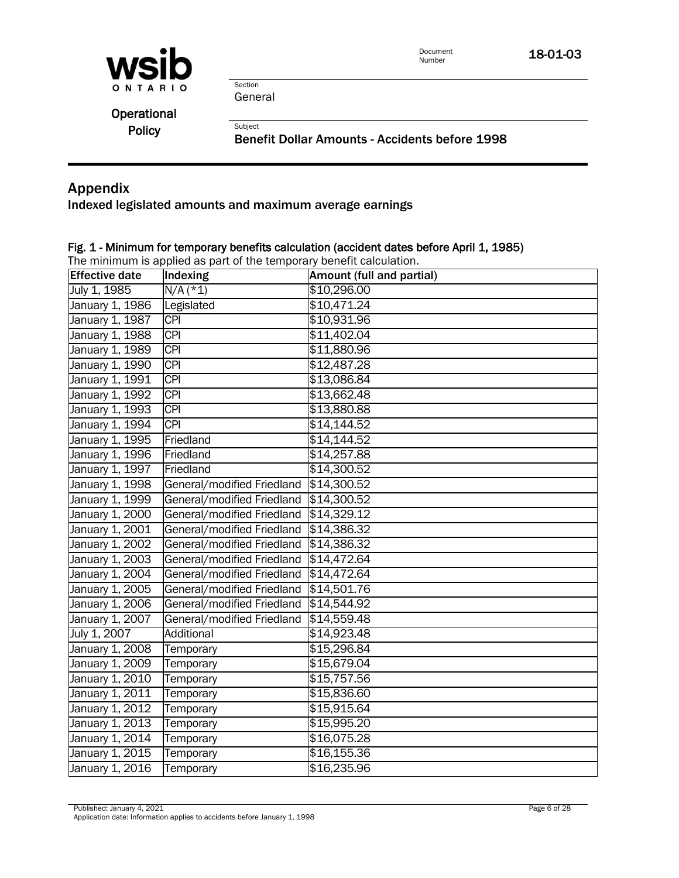

Section General

| Operational   |  |
|---------------|--|
| <b>Policy</b> |  |

Subject Subject<br>Benefit Dollar Amounts - Accidents before 1998

### Appendix

Indexed legislated amounts and maximum average earnings

### Fig. 1 - Minimum for temporary benefits calculation (accident dates before April 1, 1985)

The minimum is applied as part of the temporary benefit calculation.

| <b>Effective date</b> | Indexing                   | Amount (full and partial) |
|-----------------------|----------------------------|---------------------------|
| July 1, 1985          | $N/A$ (*1)                 | \$10,296.00               |
| January 1, 1986       | Legislated                 | \$10,471.24               |
| January 1, 1987       | $\overline{CPI}$           | \$10,931.96               |
| January 1, 1988       | <b>CPI</b>                 | \$11,402.04               |
| January 1, 1989       | <b>CPI</b>                 | \$11,880.96               |
| January 1, 1990       | CPI                        | \$12,487.28               |
| January 1, 1991       | <b>CPI</b>                 | \$13,086.84               |
| January 1, 1992       | <b>CPI</b>                 | \$13,662.48               |
| January 1, 1993       | $\overline{CPI}$           | \$13,880.88               |
| January 1, 1994       | CPI                        | \$14,144.52               |
| January 1, 1995       | Friedland                  | \$14,144.52               |
| January 1, 1996       | Friedland                  | \$14,257.88               |
| January 1, 1997       | Friedland                  | \$14,300.52               |
| January 1, 1998       | General/modified Friedland | \$14,300.52               |
| January 1, 1999       | General/modified Friedland | \$14,300.52               |
| January 1, 2000       | General/modified Friedland | \$14,329.12               |
| January 1, 2001       | General/modified Friedland | \$14,386.32               |
| January 1, 2002       | General/modified Friedland | \$14,386.32               |
| January 1, 2003       | General/modified Friedland | \$14,472.64               |
| January 1, 2004       | General/modified Friedland | \$14,472.64               |
| January 1, 2005       | General/modified Friedland | \$14,501.76               |
| January 1, 2006       | General/modified Friedland | \$14,544.92               |
| January 1, 2007       | General/modified Friedland | \$14,559.48               |
| July 1, 2007          | Additional                 | \$14,923.48               |
| January 1, 2008       | Temporary                  | \$15,296.84               |
| January 1, 2009       | Temporary                  | \$15,679.04               |
| January 1, 2010       | Temporary                  | \$15,757.56               |
| January 1, 2011       | Temporary                  | \$15,836.60               |
| January 1, 2012       | Temporary                  | \$15,915.64               |
| January 1, 2013       | Temporary                  | \$15,995.20               |
| January 1, 2014       | Temporary                  | \$16,075.28               |
| January 1, 2015       | Temporary                  | \$16,155.36               |
| January 1, 2016       | Temporary                  | \$16,235.96               |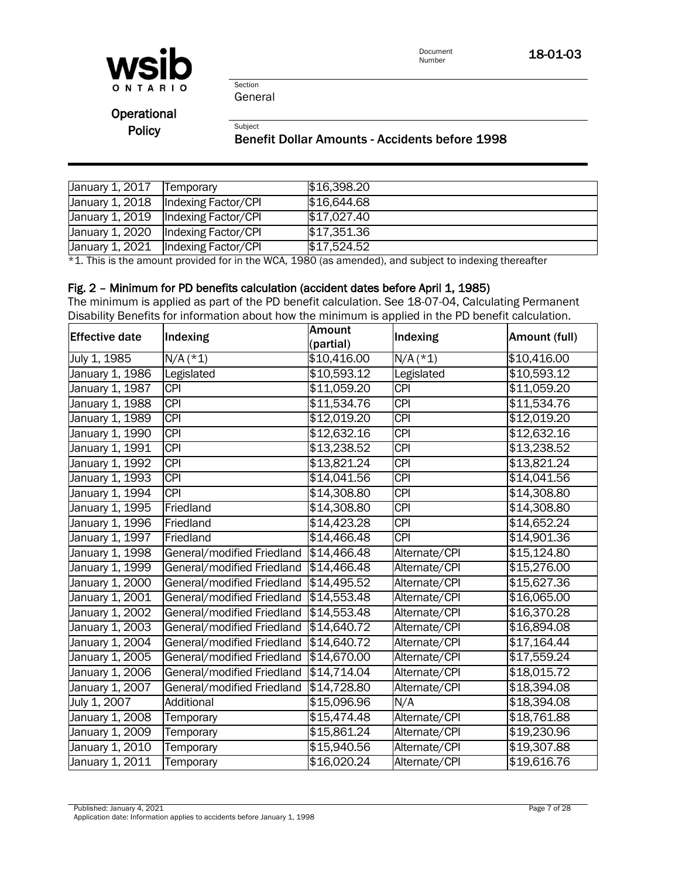

Section General

**Operational** 

## Policy<br>Benefit Dollar Amounts - Accidents before 1998

| January 1, 2017 | Temporary                             | \$16,398.20 |
|-----------------|---------------------------------------|-------------|
| January 1, 2018 | Indexing Factor/CPI                   | \$16,644.68 |
|                 | January 1, 2019   Indexing Factor/CPI | \$17,027.40 |
| January 1, 2020 | Indexing Factor/CPI                   | \$17,351.36 |
|                 | January 1, 2021   Indexing Factor/CPI | \$17,524.52 |

\*1. This is the amount provided for in the WCA, 1980 (as amended), and subject to indexing thereafter \* 1. This is the amount provided for in the WCA, 1980 (as amended), and subject to indexing thereafter

#### Fig. 2 – Minimum for PD benefits calculation (accident dates before April 1, 1985) Fig. 2 - Minimum for PD benefits calculation (accident dates before April 1, 1985)

The minimum is applied as part of the PD benefit calculation. See 18-07-04, Calculating Permanent Disability Benefits for information about how the minimum is applied in the PD benefit calculation.

| <b>Effective date</b> | Indexing                   | Amount                  | Indexing         | Amount (full)      |
|-----------------------|----------------------------|-------------------------|------------------|--------------------|
|                       |                            | (partial)               |                  |                    |
| July 1, 1985          | $N/A$ (*1)                 | \$10,416.00             | $N/A$ (*1)       | \$10,416.00        |
| January 1, 1986       | Legislated                 | \$10,593.12             | Legislated       | \$10,593.12        |
| January 1, 1987       | <b>CPI</b>                 | \$11,059.20             | <b>CPI</b>       | \$11,059.20        |
| January 1, 1988       | $\overline{CPI}$           | \$11,534.76             | $\overline{CPI}$ | \$11,534.76        |
| January 1, 1989       | $\overline{CPI}$           | \$12,019.20             | <b>CPI</b>       | \$12,019.20        |
| January 1, 1990       | <b>CPI</b>                 | \$12,632.16             | <b>CPI</b>       | \$12,632.16        |
| January 1, 1991       | $\overline{CPI}$           | \$13,238.52             | <b>CPI</b>       | \$13,238.52        |
| January 1, 1992       | <b>CPI</b>                 | \$13,821.24             | <b>CPI</b>       | \$13,821.24        |
| January 1, 1993       | $\overline{CPI}$           | \$14,041.56             | $\overline{CPI}$ | \$14,041.56        |
| January 1, 1994       | $\overline{CPI}$           | \$14,308.80             | $\overline{CPI}$ | \$14,308.80        |
| January 1, 1995       | Friedland                  | \$14,308.80             | <b>CPI</b>       | \$14,308.80        |
| January 1, 1996       | Friedland                  | \$14,423.28             | $\overline{CPI}$ | \$14,652.24        |
| January 1, 1997       | Friedland                  | \$14,466.48             | <b>CPI</b>       | \$14,901.36        |
| January 1, 1998       | General/modified Friedland | $\sqrt{$14,466.48}$     | Alternate/CPI    | \$15,124.80        |
| January 1, 1999       | General/modified Friedland | \$14,466.48             | Alternate/CPI    | \$15,276.00        |
| January 1, 2000       | General/modified Friedland | \$14,495.52             | Alternate/CPI    | \$15,627.36        |
| January 1, 2001       | General/modified Friedland | \$14,553.48             | Alternate/CPI    | \$16,065.00        |
| January 1, 2002       | General/modified Friedland | \$14,553.48             | Alternate/CPI    | \$16,370.28        |
| January 1, 2003       | General/modified Friedland | \$14,640.72             | Alternate/CPI    | \$16,894.08        |
| January 1, 2004       | General/modified Friedland | \$14,640.72             | Alternate/CPI    | \$17,164.44        |
| January 1, 2005       | General/modified Friedland | \$14,670.00             | Alternate/CPI    | \$17,559.24        |
| January 1, 2006       | General/modified Friedland | $\sqrt{$14,714.04}$     | Alternate/CPI    | \$18,015.72        |
| January 1, 2007       | General/modified Friedland | \$14,728.80             | Alternate/CPI    | \$18,394.08        |
| July 1, 2007          | Additional                 | \$15,096.96             | N/A              | \$18,394.08        |
| January 1, 2008       | Temporary                  | \$15,474.48             | Alternate/CPI    | \$18,761.88        |
| January 1, 2009       | Temporary                  | $\overline{$15,861.24}$ | Alternate/CPI    | $\sqrt{19,230.96}$ |
| January 1, 2010       | Temporary                  | \$15,940.56             | Alternate/CPI    | \$19,307.88        |
| January 1, 2011       | Temporary                  | \$16,020.24             | Alternate/CPI    | \$19,616.76        |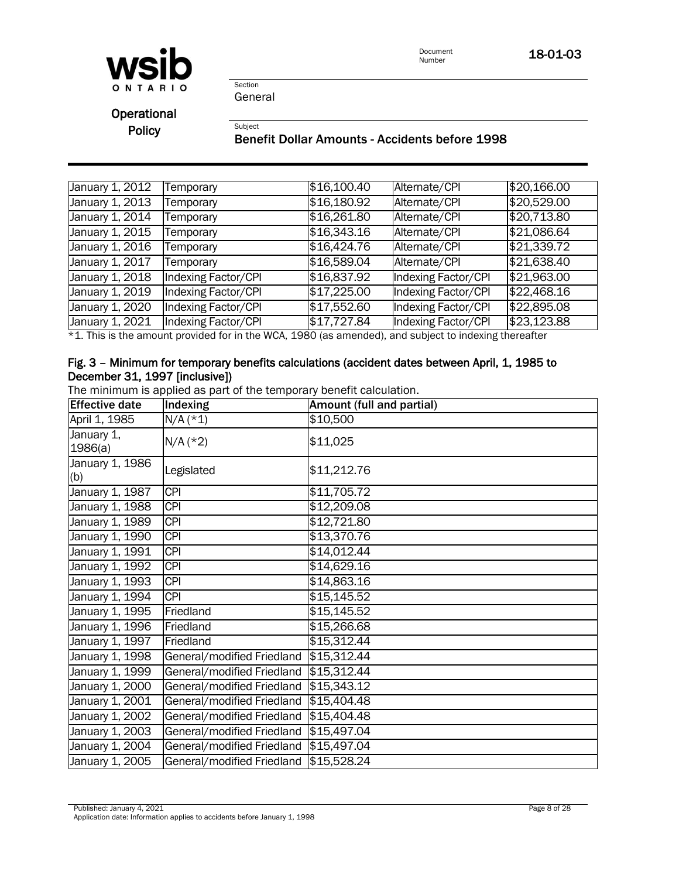

Section General

**Operational** 

Policy<br>Benefit Dollar Amounts - Accidents before 1998

| January 1, 2012              | Temporary                  | \$16,100.40 | Alternate/CPI       | \$20,166.00         |
|------------------------------|----------------------------|-------------|---------------------|---------------------|
| January 1, 2013              | Temporary                  | \$16,180.92 | Alternate/CPI       | \$20,529.00         |
| January 1, 2014              | Temporary                  | \$16,261.80 | Alternate/CPI       | \$20,713.80         |
| January 1, 2015              | Temporary                  | \$16,343.16 | Alternate/CPI       | $\sqrt{$21,086.64}$ |
| January 1, 2016              | Temporary                  | \$16,424.76 | Alternate/CPI       | \$21,339.72         |
| January 1, 2017              | Temporary                  | \$16,589.04 | Alternate/CPI       | \$21,638.40         |
| January 1, 2018              | Indexing Factor/CPI        | \$16,837.92 | Indexing Factor/CPI | \$21,963.00         |
| January 1, $20\overline{19}$ | <b>Indexing Factor/CPI</b> | \$17,225.00 | Indexing Factor/CPI | \$22,468.16         |
| January 1, 2020              | Indexing Factor/CPI        | \$17,552.60 | Indexing Factor/CPI | $\sqrt{$22,895.08}$ |
| January 1, $20\overline{21}$ | Indexing Factor/CPI        | \$17,727.84 | Indexing Factor/CPI | \$23,123.88         |

\*1. This is the amount provided for in the WCA, 1980 (as amended), and subject to indexing thereafter \*1. This is the amount provided for in the WCA, 1980 (as amended), and subject to indexing thereafter

#### Fig. 3 – Minimum for temporary benefits calculations (accident dates between April, 1, 1985 to December 31, 1997 [inclusive])

The minimum is applied as part of the temporary benefit calculation. The minimum is applied as part of the temporary benefit calculation.

| <b>Effective date</b>  | <b>Indexing</b>                        | Amount (full and partial) |
|------------------------|----------------------------------------|---------------------------|
| April 1, 1985          | $N/A$ (*1)                             | \$10,500                  |
| January 1,<br>1986(a)  | $N/A$ (*2)                             | \$11,025                  |
| January 1, 1986<br>(b) | Legislated                             | \$11,212.76               |
| January 1, 1987        | $\overline{CPI}$                       | \$11,705.72               |
| January 1, 1988        | $\overline{CPI}$                       | \$12,209.08               |
| January 1, 1989        | <b>CPI</b>                             | \$12,721.80               |
| January 1, 1990        | <b>CPI</b>                             | \$13,370.76               |
| January 1, 1991        | <b>CPI</b>                             | \$14,012.44               |
| January 1, 1992        | <b>CPI</b>                             | \$14,629.16               |
| January 1, 1993        | <b>CPI</b>                             | \$14,863.16               |
| January 1, 1994        | <b>CPI</b>                             | \$15,145.52               |
| January 1, 1995        | Friedland                              | \$15,145.52               |
| January 1, 1996        | Friedland                              | \$15,266.68               |
| January 1, 1997        | Friedland                              | \$15,312.44               |
| January 1, 1998        | General/modified Friedland \$15,312.44 |                           |
| January 1, 1999        | General/modified Friedland \$15,312.44 |                           |
| January 1, 2000        | General/modified Friedland \$15,343.12 |                           |
| January 1, 2001        | General/modified Friedland \$15,404.48 |                           |
| January 1, 2002        | General/modified Friedland \$15,404.48 |                           |
| January 1, 2003        | General/modified Friedland \$15,497.04 |                           |
| January 1, 2004        | General/modified Friedland \$15,497.04 |                           |
| January 1, 2005        | General/modified Friedland \$15,528.24 |                           |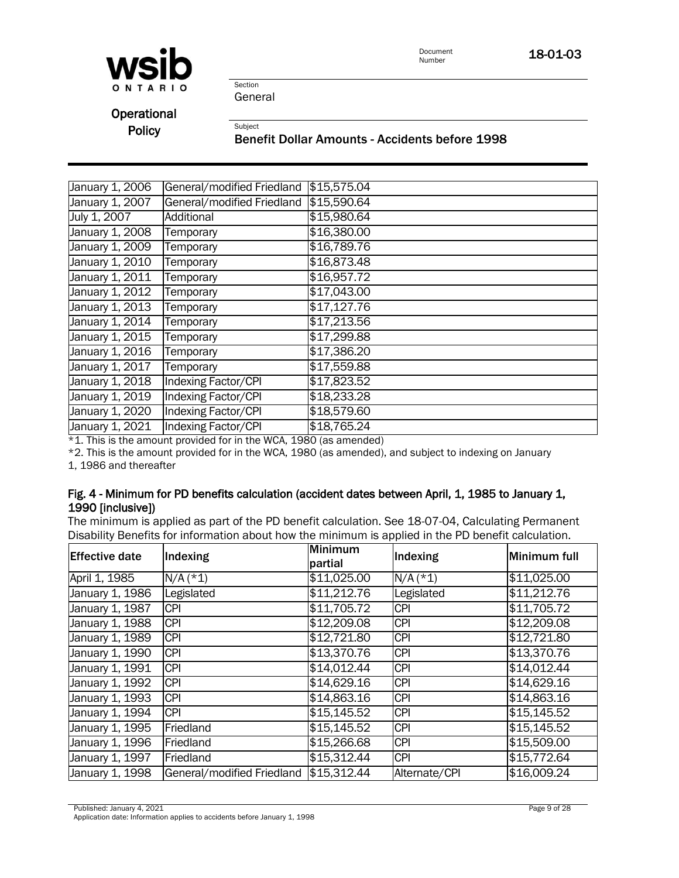

Section General

**Operational** 

Policy<br>Benefit Dollar Amounts - Accidents before 1998

|                            | \$15,575.04                |
|----------------------------|----------------------------|
| General/modified Friedland | \$15,590.64                |
| Additional                 | \$15,980.64                |
| Temporary                  | \$16,380.00                |
| Temporary                  | \$16,789.76                |
| Temporary                  | \$16,873.48                |
| Temporary                  | \$16,957.72                |
| Temporary                  | \$17,043.00                |
| Temporary                  | \$17,127.76                |
| Temporary                  | \$17,213.56                |
| Temporary                  | \$17,299.88                |
| Temporary                  | \$17,386.20                |
| Temporary                  | \$17,559.88                |
| <b>Indexing Factor/CPI</b> | \$17,823.52                |
| <b>Indexing Factor/CPI</b> | \$18,233.28                |
| <b>Indexing Factor/CPI</b> | \$18,579.60                |
| <b>Indexing Factor/CPI</b> | \$18,765.24                |
|                            | General/modified Friedland |

 $*1$ . This is the amount provided for in the WCA, 1980 (as amended)

\*2. This is the amount provided for in the WCA, 1980 (as amended), and subject to indexing on January  $\alpha$ . This is the amount provided for in the amount provided for in the amount provided for in the amount provided for in the amount  $\alpha$  $^{\circ}$ Z. This is the amount provided for in the WCA, 1980 (as amended), and subject

1, 1986 and thereafter

#### Fig. 4 - Minimum for PD benefits calculation (accident dates between April, 1, 1985 to January 1, 1990 [inclusive])

The minimum is applied as part of the PD benefit calculation. See 18-07-04, Calculating Permanent Disability Benefits for information about how the minimum is applied in the PD benefit calculation.

| <b>Effective date</b> | Indexing                   | Minimum<br>partial | Indexing      | Minimum full |
|-----------------------|----------------------------|--------------------|---------------|--------------|
| April 1, 1985         | $N/A$ (*1)                 | \$11,025.00        | $N/A$ (*1)    | \$11,025.00  |
| January 1, 1986       | Legislated                 | \$11,212.76        | Legislated    | \$11,212.76  |
| January 1, 1987       | <b>CPI</b>                 | \$11,705.72        | <b>CPI</b>    | \$11,705.72  |
| January 1, 1988       | <b>CPI</b>                 | \$12,209.08        | <b>CPI</b>    | \$12,209.08  |
| January 1, 1989       | <b>CPI</b>                 | \$12,721.80        | <b>CPI</b>    | \$12,721.80  |
| January 1, 1990       | <b>CPI</b>                 | \$13,370.76        | <b>CPI</b>    | \$13,370.76  |
| January 1, 1991       | <b>CPI</b>                 | \$14.012.44        | <b>CPI</b>    | \$14,012.44  |
| January 1, 1992       | <b>CPI</b>                 | \$14,629.16        | <b>CPI</b>    | \$14,629.16  |
| January 1, 1993       | <b>CPI</b>                 | \$14,863.16        | <b>CPI</b>    | \$14,863.16  |
| January 1, 1994       | <b>CPI</b>                 | \$15,145.52        | <b>CPI</b>    | \$15,145.52  |
| January 1, 1995       | Friedland                  | \$15,145.52        | <b>CPI</b>    | \$15,145.52  |
| January 1, 1996       | Friedland                  | \$15,266.68        | <b>CPI</b>    | \$15,509.00  |
| January 1, 1997       | Friedland                  | \$15,312.44        | <b>CPI</b>    | \$15,772.64  |
| January 1, 1998       | General/modified Friedland | \$15,312.44        | Alternate/CPI | \$16,009.24  |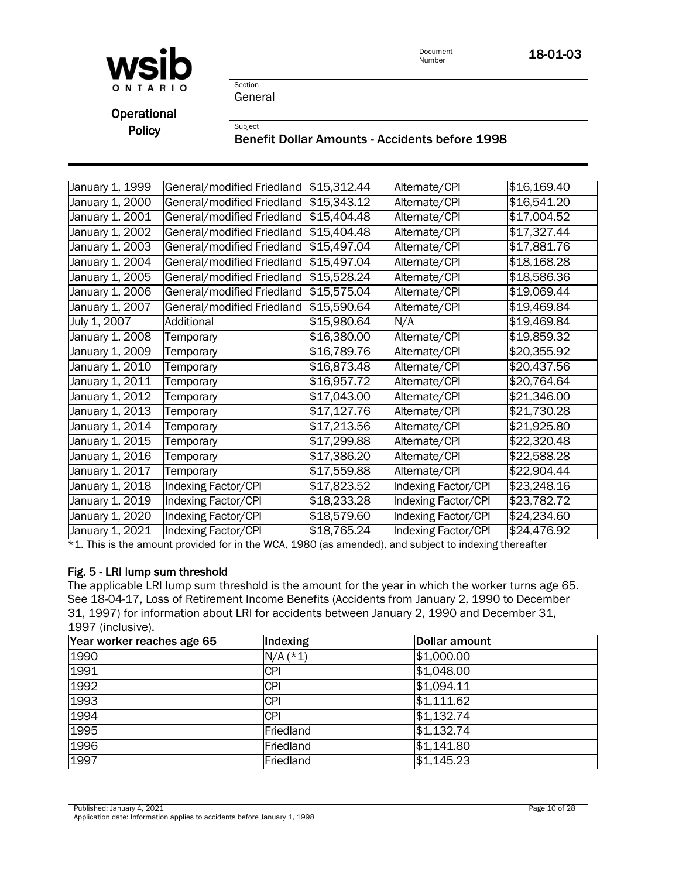

Section General

**Operational** 

# Policy<br>Benefit Dollar Amounts - Accidents before 1998

| January 1, 1999 | General/modified Friedland | \$15,312.44 | Alternate/CPI       | \$16,169.40 |
|-----------------|----------------------------|-------------|---------------------|-------------|
| January 1, 2000 | General/modified Friedland | \$15,343.12 | Alternate/CPI       | \$16,541.20 |
| January 1, 2001 | General/modified Friedland | \$15,404.48 | Alternate/CPI       | \$17,004.52 |
| January 1, 2002 | General/modified Friedland | \$15,404.48 | Alternate/CPI       | \$17,327.44 |
| January 1, 2003 | General/modified Friedland | \$15,497.04 | Alternate/CPI       | \$17,881.76 |
| January 1, 2004 | General/modified Friedland | \$15,497.04 | Alternate/CPI       | \$18,168.28 |
| January 1, 2005 | General/modified Friedland | \$15,528.24 | Alternate/CPI       | \$18,586.36 |
| January 1, 2006 | General/modified Friedland | \$15,575.04 | Alternate/CPI       | \$19,069.44 |
| January 1, 2007 | General/modified Friedland | \$15,590.64 | Alternate/CPI       | \$19,469.84 |
| July 1, 2007    | Additional                 | \$15,980.64 | N/A                 | \$19,469.84 |
| January 1, 2008 | Temporary                  | \$16,380.00 | Alternate/CPI       | \$19,859.32 |
| January 1, 2009 | Temporary                  | \$16,789.76 | Alternate/CPI       | \$20,355.92 |
| January 1, 2010 | Temporary                  | \$16,873.48 | Alternate/CPI       | \$20,437.56 |
| January 1, 2011 | Temporary                  | \$16,957.72 | Alternate/CPI       | \$20,764.64 |
| January 1, 2012 | Temporary                  | \$17,043.00 | Alternate/CPI       | \$21,346.00 |
| January 1, 2013 | Temporary                  | \$17,127.76 | Alternate/CPI       | \$21,730.28 |
| January 1, 2014 | Temporary                  | \$17,213.56 | Alternate/CPI       | \$21,925.80 |
| January 1, 2015 | Temporary                  | \$17,299.88 | Alternate/CPI       | \$22,320.48 |
| January 1, 2016 | Temporary                  | \$17,386.20 | Alternate/CPI       | \$22,588.28 |
| January 1, 2017 | Temporary                  | \$17,559.88 | Alternate/CPI       | \$22,904.44 |
| January 1, 2018 | <b>Indexing Factor/CPI</b> | \$17,823.52 | Indexing Factor/CPI | \$23,248.16 |
| January 1, 2019 | Indexing Factor/CPI        | \$18,233.28 | Indexing Factor/CPI | \$23,782.72 |
| January 1, 2020 | Indexing Factor/CPI        | \$18,579.60 | Indexing Factor/CPI | \$24,234.60 |
| January 1, 2021 | Indexing Factor/CPI        | \$18,765.24 | Indexing Factor/CPI | \$24,476.92 |

 $*1$ . This is the amount provided for in the WCA, 1980 (as amended), and subject to indexing thereafter

#### Fig. 5 - LRI lump sum threshold

The applicable LRI lump sum threshold is the amount for the year in which the worker turns age 65. See 18-04-17, Loss of Retirement Income Benefits (Accidents from January 2, 1990 to December 31, 1997) for information about LRI for accidents between January 2, 1990 and December 31, 1997 (inclusive).

| Year worker reaches age 65 | Indexing   | Dollar amount |
|----------------------------|------------|---------------|
| 1990                       | $N/A$ (*1) | \$1,000.00    |
| 1991                       | <b>CPI</b> | \$1,048.00    |
| 1992                       | <b>CPI</b> | \$1,094.11    |
| 1993                       | <b>CPI</b> | \$1,111.62    |
| 1994                       | <b>CPI</b> | \$1,132.74    |
| 1995                       | Friedland  | \$1,132.74    |
| 1996                       | Friedland  | \$1,141.80    |
| 1997                       | Friedland  | \$1,145.23    |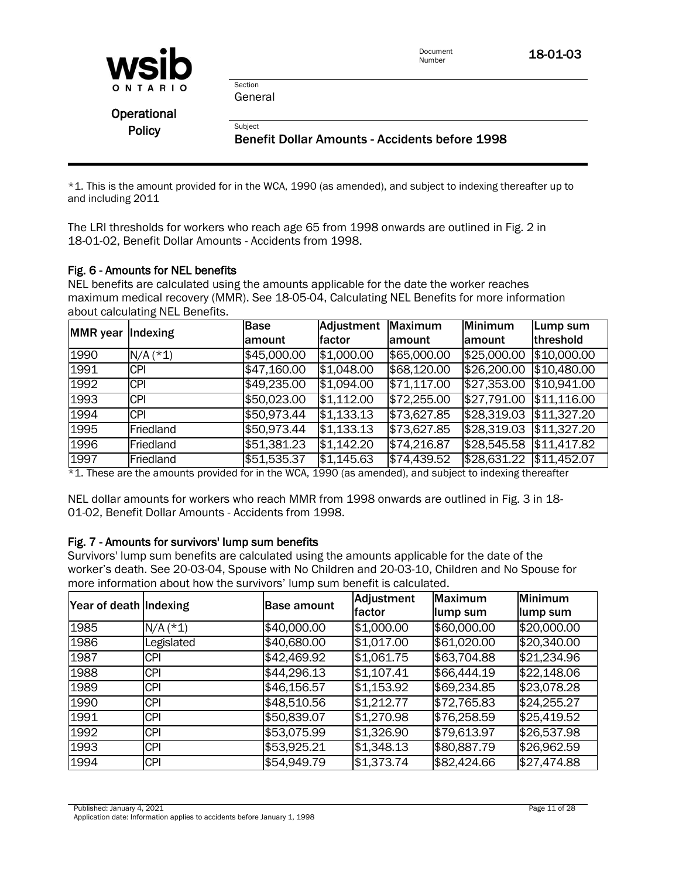| WSIC |         |  |  |  |
|------|---------|--|--|--|
|      | ONTARIO |  |  |  |

General

Section

| Operational   |  |
|---------------|--|
| <b>Policy</b> |  |

Subject<br>Benefit Dollar Amounts - Accidents before 1998

\*1. This is the amount provided for in the WCA, 1990 (as amended), and subject to indexing thereafter up to and including 2011

The LRI thresholds for workers who reach age 65 from 1998 onwards are outlined in Fig. 2 in 18-01-02, Benefit Dollar Amounts - Accidents from 1998.

#### Fig. 6 - Amounts for NEL benefits

NEL benefits are calculated using the amounts applicable for the date the worker reaches maximum medical recovery (MMR). See 18-05-04, Calculating NEL Benefits for more information about calculating NEL Benefits.

| <b>MMR</b> year | Indexing   | <b>Base</b> | Adjustment | <b>Maximum</b> | Minimum                 | Lump sum            |
|-----------------|------------|-------------|------------|----------------|-------------------------|---------------------|
|                 |            | lamount     | factor     | lamount        | lamount                 | threshold           |
| 1990            | $N/A$ (*1) | \$45,000.00 | \$1,000.00 | \$65,000.00    | \$25,000.00             | \$10,000.00         |
| 1991            | <b>CPI</b> | \$47,160.00 | \$1,048.00 | \$68,120.00    | $\sqrt{$26,200.00}$     | \$10,480.00         |
| 1992            | <b>CPI</b> | \$49,235.00 | \$1,094.00 | \$71,117.00    | \$27,353.00             | \$10,941.00         |
| 1993            | <b>CPI</b> | \$50,023.00 | \$1,112.00 | \$72,255.00    | \$27,791.00             | \$11,116.00         |
| 1994            | <b>CPI</b> | \$50,973.44 | \$1,133.13 | \$73,627.85    | \$28,319.03             | \$11,327.20         |
| 1995            | Friedland  | \$50,973.44 | \$1,133.13 | \$73,627.85    | \$28,319.03             | $\sqrt{$11,327.20}$ |
| 1996            | Friedland  | \$51,381.23 | \$1,142.20 | \$74,216.87    | \$28,545.58 \$11,417.82 |                     |
| 1997            | Friedland  | \$51,535.37 | \$1,145.63 | \$74,439.52    | \$28,631.22 \$11,452.07 |                     |

\*1. These are the amounts provided for in the WCA, 1990 (as amended), and subject to indexing thereafter

NEL dollar amounts for workers who reach MMR from 1998 onwards are outlined in Fig. 3 in 18- 01-02, Benefit Dollar Amounts - Accidents from 1998.

#### Fig. 7 - Amounts for survivors' lump sum benefits

Survivors' lump sum benefits are calculated using the amounts applicable for the date of the worker's death. See 20-03-04, Spouse with No Children and 20-03-10, Children and No Spouse for more information about how the survivors' lump sum benefit is calculated.

| Year of death Indexing |            | <b>Base amount</b> | Adjustment<br>factor | Maximum<br>llump sum | <b>Minimum</b><br>lump sum |
|------------------------|------------|--------------------|----------------------|----------------------|----------------------------|
| 1985                   | $N/A$ (*1) | \$40,000.00        | \$1,000.00           | \$60,000.00          | \$20,000.00                |
| 1986                   | egislated  | \$40,680.00        | \$1,017.00           | \$61,020.00          | \$20,340.00                |
| 1987                   | <b>CPI</b> | \$42,469.92        | \$1,061.75           | \$63,704.88          | \$21,234.96                |
| 1988                   | <b>CPI</b> | \$44,296.13        | \$1,107.41           | \$66,444.19          | \$22,148.06                |
| 1989                   | <b>CPI</b> | \$46,156.57        | \$1,153.92           | \$69,234.85          | \$23,078.28                |
| 1990                   | <b>CPI</b> | \$48,510.56        | \$1,212.77           | \$72,765.83          | \$24,255.27                |
| 1991                   | <b>CPI</b> | \$50,839.07        | \$1,270.98           | \$76,258.59          | \$25,419.52                |
| 1992                   | <b>CPI</b> | \$53,075.99        | \$1,326.90           | \$79,613.97          | \$26,537.98                |
| 1993                   | <b>CPI</b> | \$53,925.21        | \$1,348.13           | \$80,887.79          | \$26,962.59                |
| 1994                   | <b>CPI</b> | \$54,949.79        | \$1,373.74           | \$82,424.66          | \$27,474.88                |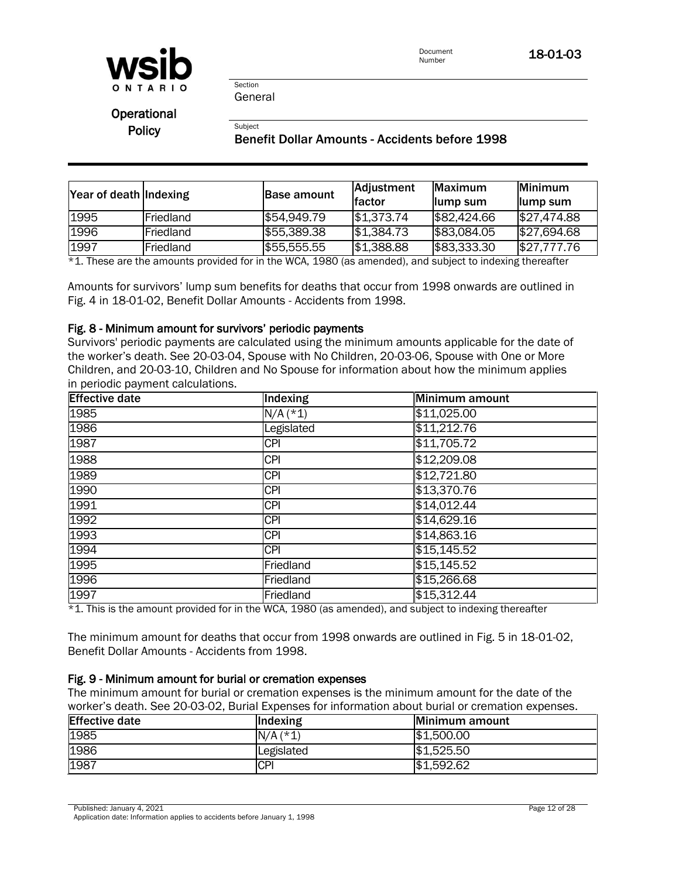

General

Section

**Operational** 

# Policy<br>Benefit Dollar Amounts - Accidents before 1998

| Year of death Indexing |           | <b>Base amount</b> | Adjustment<br>lfactor | <b>IMaximum</b><br>llump sum | <b>Minimum</b><br>llump sum |
|------------------------|-----------|--------------------|-----------------------|------------------------------|-----------------------------|
| 1995                   | Friedland | \$54,949.79        | \$1,373.74            | \$82,424.66                  | \$27,474.88                 |
| 1996                   | Friedland | \$55,389.38        | \$1,384.73            | \$83,084.05                  | \$27,694.68                 |
| 1997                   | Friedland | \$55,555.55        | \$1,388.88            | \$83,333.30                  | \$27,777.76                 |

\*1. These are the amounts provided for in the WCA, 1980 (as amended), and subject to indexing thereafter \*1. These are the amounts provided for in the WCA, 1980 (as amended), and subject to indexing thereafter

Amounts for survivors' lump sum benefits for deaths that occur from 1998 onwards are outlined in Fig. 4 in 18-01-02, Benefit Dollar Amounts - Accidents from 1998.

#### Fig. 8 - Minimum amount for survivors' periodic payments

Survivors' periodic payments are calculated using the minimum amounts applicable for the date of the worker's death. See 20-03-04, Spouse with No Children, 20-03-06, Spouse with One or More Children, and 20-03-10, Children and No Spouse for information about how the minimum applies in periodic payment calculations.

| <b>Effective date</b> | Indexing   | Minimum amount |
|-----------------------|------------|----------------|
| 1985                  | $N/A$ (*1) | \$11,025.00    |
| 1986                  | Legislated | \$11,212.76    |
| 1987                  | <b>CPI</b> | \$11,705.72    |
| 1988                  | <b>CPI</b> | \$12,209.08    |
| 1989                  | <b>CPI</b> | \$12,721.80    |
| 1990                  | <b>CPI</b> | \$13,370.76    |
| 1991                  | <b>CPI</b> | \$14,012.44    |
| 1992                  | <b>CPI</b> | \$14,629.16    |
| 1993                  | <b>CPI</b> | \$14,863.16    |
| 1994                  | <b>CPI</b> | \$15,145.52    |
| 1995                  | Friedland  | \$15,145.52    |
| 1996                  | Friedland  | \$15,266.68    |
| 1997                  | Friedland  | \$15,312.44    |

 $*1$ . This is the amount provided for in the WCA, 1980 (as amended), and subject to indexing thereafter

The minimum amount for deaths that occur from 1998 onwards are outlined in Fig. 5 in 18-01-02, Benefit Dollar Amounts - Accidents from 1998.

#### Fig. 9 - Minimum amount for burial or cremation expenses

The minimum amount for burial or cremation expenses is the minimum amount for the date of the worker's death. See 20-03-02, Burial Expenses for information about burial or cremation expenses.

| <b>Effective date</b> | <b>Indexing</b> | Minimum amount |
|-----------------------|-----------------|----------------|
| 1985                  | $N/A$ (*1)      | \$1,500.00     |
| 1986                  | Legislated      | \$1,525.50     |
| 1987                  | <b>CPI</b>      | \$1,592.62     |

Published: January 4, 2021 **Published: January 4, 2021** 

Application date: Information applies to accidents before January 1, 1998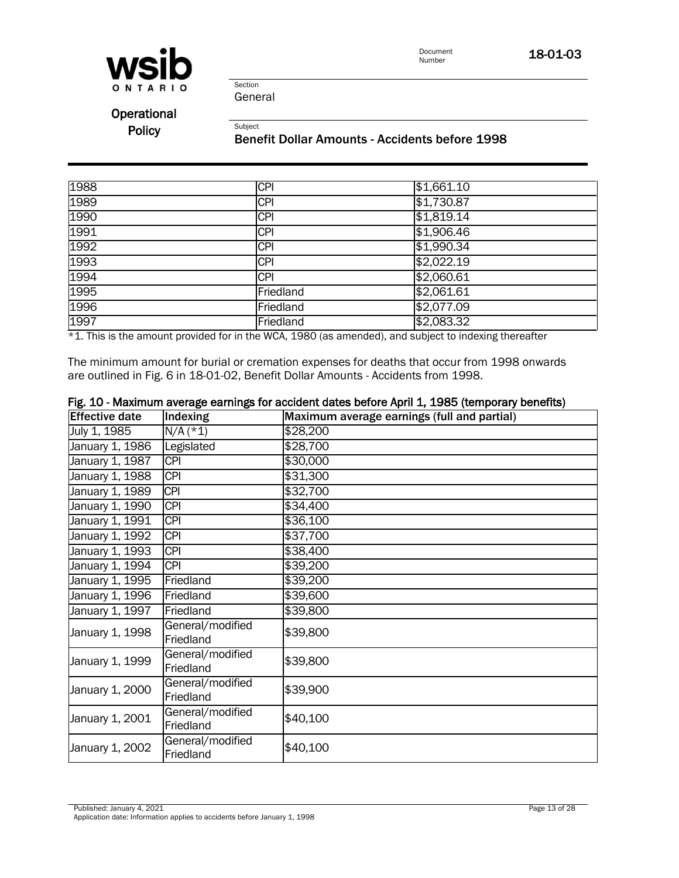

Section General

Operational

# Policy<br>Benefit Dollar Amounts - Accidents before 1998

| 1988 | <b>CPI</b> | \$1,661.10 |
|------|------------|------------|
| 1989 | <b>CPI</b> | \$1,730.87 |
| 1990 | <b>CPI</b> | \$1,819.14 |
| 1991 | <b>CPI</b> | \$1,906.46 |
| 1992 | <b>CPI</b> | \$1,990.34 |
| 1993 | <b>CPI</b> | \$2,022.19 |
| 1994 | <b>CPI</b> | \$2,060.61 |
| 1995 | Friedland  | \$2,061.61 |
| 1996 | Friedland  | \$2,077.09 |
| 1997 | Friedland  | \$2,083.32 |

\*1. This is the amount provided for in the WCA, 1980 (as amended), and subject to indexing thereafter

The minimum amount for burial or cremation expenses for deaths that occur from 1998 onwards are outlined in Fig. 6 in 18-01-02, Benefit Dollar Amounts - Accidents from 1998.

| <b>Effective date</b> | Indexing                      | Maximum average earnings (full and partial) |
|-----------------------|-------------------------------|---------------------------------------------|
| July 1, 1985          | $N/A$ (*1)                    | \$28,200                                    |
| January 1, 1986       | Legislated                    | \$28,700                                    |
| January 1, 1987       | <b>CPI</b>                    | \$30,000                                    |
| January 1, 1988       | <b>CPI</b>                    | \$31,300                                    |
| January 1, 1989       | <b>CPI</b>                    | \$32,700                                    |
| January 1, 1990       | <b>CPI</b>                    | \$34,400                                    |
| January 1, 1991       | <b>CPI</b>                    | \$36,100                                    |
| January 1, 1992       | <b>CPI</b>                    | \$37,700                                    |
| January 1, 1993       | <b>CPI</b>                    | \$38,400                                    |
| January 1, 1994       | <b>CPI</b>                    | \$39,200                                    |
| January 1, 1995       | Friedland                     | \$39,200                                    |
| January 1, 1996       | Friedland                     | \$39,600                                    |
| January 1, 1997       | Friedland                     | \$39,800                                    |
| January 1, 1998       | General/modified<br>Friedland | \$39,800                                    |
| January 1, 1999       | General/modified<br>Friedland | \$39,800                                    |
| January 1, 2000       | General/modified<br>Friedland | \$39,900                                    |
| January 1, 2001       | General/modified<br>Friedland | \$40,100                                    |
| January 1, 2002       | General/modified<br>Friedland | \$40,100                                    |

### Fig. 10 - Maximum average earnings for accident dates before April 1, 1985 (temporary benefits)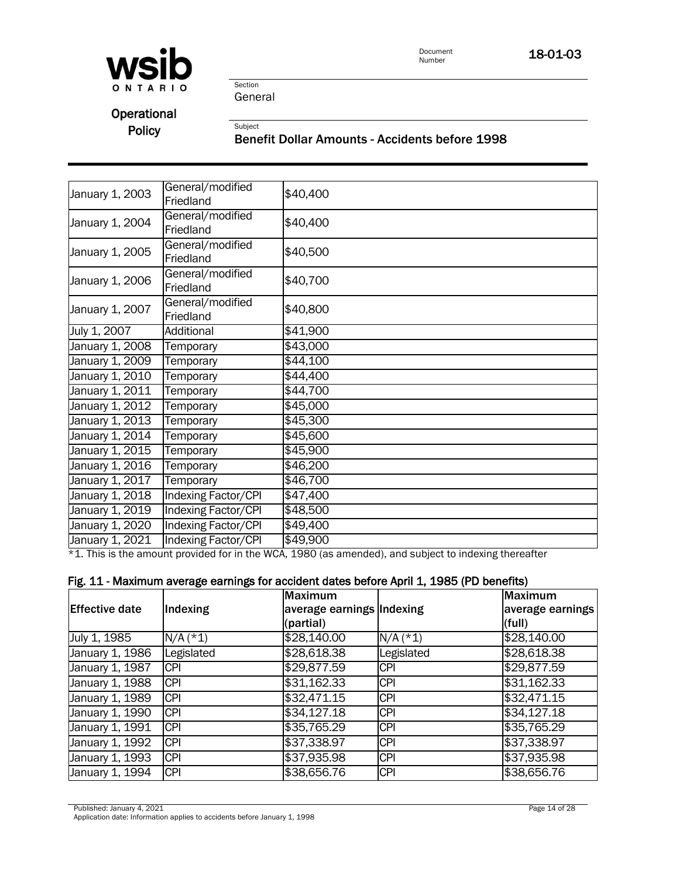

Section General

**Operational** 

# Policy<br>Benefit Dollar Amounts - Accidents before 1998

| January 1, 2003 | General/modified<br>Friedland | \$40,400 |
|-----------------|-------------------------------|----------|
| January 1, 2004 | General/modified<br>Friedland | \$40,400 |
| January 1, 2005 | General/modified<br>Friedland | \$40,500 |
| January 1, 2006 | General/modified<br>Friedland | \$40,700 |
| January 1, 2007 | General/modified<br>Friedland | \$40,800 |
| July 1, 2007    | Additional                    | \$41,900 |
| January 1, 2008 | Temporary                     | \$43,000 |
| January 1, 2009 | Temporary                     | \$44,100 |
| January 1, 2010 | Temporary                     | \$44,400 |
| January 1, 2011 | Temporary                     | \$44,700 |
| January 1, 2012 | Temporary                     | \$45,000 |
| January 1, 2013 | Temporary                     | \$45,300 |
| January 1, 2014 | Temporary                     | \$45,600 |
| January 1, 2015 | Temporary                     | \$45,900 |
| January 1, 2016 | Temporary                     | \$46,200 |
| January 1, 2017 | Temporary                     | \$46,700 |
| January 1, 2018 | <b>Indexing Factor/CPI</b>    | \$47,400 |
| January 1, 2019 | <b>Indexing Factor/CPI</b>    | \$48,500 |
| January 1, 2020 | <b>Indexing Factor/CPI</b>    | \$49,400 |
| January 1, 2021 | Indexing Factor/CPI           | \$49,900 |

\*1. This is the amount provided for in the WCA, 1980 (as amended), and subject to indexing thereafter

#### Fig. 11 - Maximum average earnings for accident dates before April 1, 1985 (PD benefits)

| <b>Effective date</b> | Indexing   | <b>Maximum</b><br>average earnings Indexing<br>(partial) |            | Maximum<br>average earnings<br>(full) |
|-----------------------|------------|----------------------------------------------------------|------------|---------------------------------------|
| July 1, 1985          | $N/A$ (*1) | \$28,140.00                                              | $N/A$ (*1) | \$28,140.00                           |
| January 1, 1986       | Legislated | \$28,618.38                                              | Legislated | \$28,618.38                           |
| January 1, 1987       | <b>CPI</b> | \$29,877.59                                              | <b>CPI</b> | \$29,877.59                           |
| January 1, 1988       | <b>CPI</b> | \$31,162.33                                              | <b>CPI</b> | \$31,162.33                           |
| January 1, 1989       | <b>CPI</b> | \$32,471.15                                              | <b>CPI</b> | \$32,471.15                           |
| January 1, 1990       | <b>CPI</b> | \$34,127.18                                              | <b>CPI</b> | \$34,127.18                           |
| January 1, 1991       | <b>CPI</b> | \$35,765.29                                              | <b>CPI</b> | \$35,765.29                           |
| January 1, 1992       | <b>CPI</b> | \$37,338.97                                              | <b>CPI</b> | \$37,338.97                           |
| January 1, 1993       | <b>CPI</b> | \$37,935.98                                              | <b>CPI</b> | \$37,935.98                           |
| January 1, 1994       | <b>CPI</b> | \$38,656.76                                              | <b>CPI</b> | \$38,656.76                           |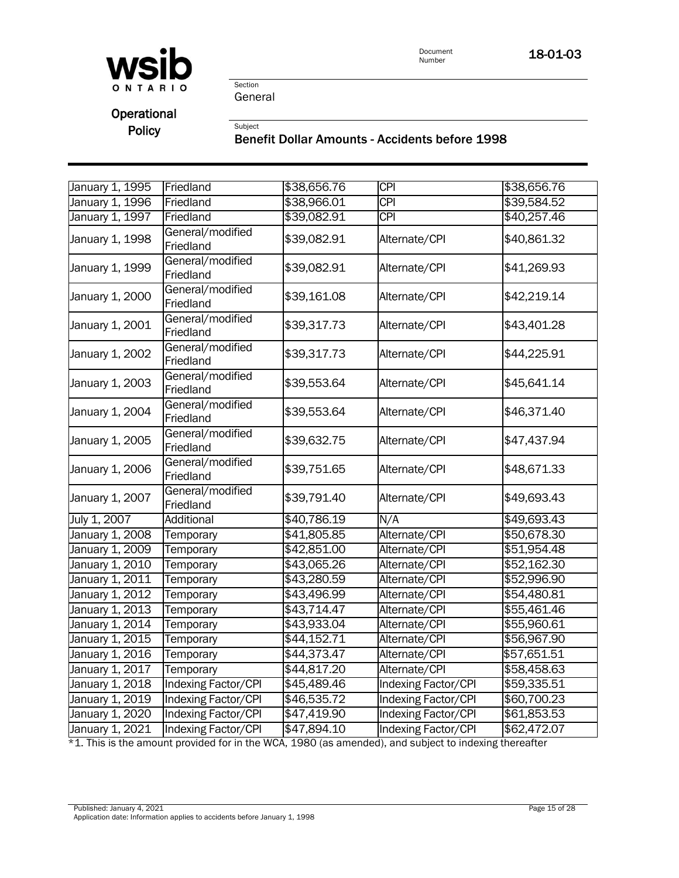

## **Operational**

## Policy<br>Benefit Dollar Amounts - Accidents before 1998

| January 1, 1995 | Friedland                     | \$38,656.76             | <b>CPI</b>                 | \$38,656.76 |
|-----------------|-------------------------------|-------------------------|----------------------------|-------------|
| January 1, 1996 | Friedland                     | \$38,966.01             | <b>CPI</b>                 | \$39,584.52 |
| January 1, 1997 | Friedland                     | \$39,082.91             | <b>CPI</b>                 | \$40,257.46 |
| January 1, 1998 | General/modified<br>Friedland | \$39,082.91             | Alternate/CPI              | \$40,861.32 |
| January 1, 1999 | General/modified<br>Friedland | \$39,082.91             | Alternate/CPI              | \$41,269.93 |
| January 1, 2000 | General/modified<br>Friedland | \$39,161.08             | Alternate/CPI              | \$42,219.14 |
| January 1, 2001 | General/modified<br>Friedland | \$39,317.73             | Alternate/CPI              | \$43,401.28 |
| January 1, 2002 | General/modified<br>Friedland | \$39,317.73             | Alternate/CPI              | \$44,225.91 |
| January 1, 2003 | General/modified<br>Friedland | \$39,553.64             | Alternate/CPI              | \$45,641.14 |
| January 1, 2004 | General/modified<br>Friedland | \$39,553.64             | Alternate/CPI              | \$46,371.40 |
| January 1, 2005 | General/modified<br>Friedland | \$39,632.75             | Alternate/CPI              | \$47,437.94 |
| January 1, 2006 | General/modified<br>Friedland | \$39,751.65             | Alternate/CPI              | \$48,671.33 |
| January 1, 2007 | General/modified<br>Friedland | \$39,791.40             | Alternate/CPI              | \$49,693.43 |
| July 1, 2007    | Additional                    | \$40,786.19             | N/A                        | \$49,693.43 |
| January 1, 2008 | Temporary                     | \$41,805.85             | Alternate/CPI              | \$50,678.30 |
| January 1, 2009 | Temporary                     | \$42,851.00             | Alternate/CPI              | \$51,954.48 |
| January 1, 2010 | Temporary                     | \$43,065.26             | Alternate/CPI              | \$52,162.30 |
| January 1, 2011 | Temporary                     | $\overline{$43,280.59}$ | Alternate/CPI              | \$52,996.90 |
| January 1, 2012 | Temporary                     | \$43,496.99             | Alternate/CPI              | \$54,480.81 |
| January 1, 2013 | Temporary                     | \$43,714.47             | Alternate/CPI              | \$55,461.46 |
| January 1, 2014 | Temporary                     | \$43,933.04             | Alternate/CPI              | \$55,960.61 |
| January 1, 2015 | Temporary                     | \$44,152.71             | Alternate/CPI              | \$56,967.90 |
| January 1, 2016 | Temporary                     | \$44,373.47             | Alternate/CPI              | \$57,651.51 |
| January 1, 2017 | Temporary                     | \$44,817.20             | Alternate/CPI              | \$58,458.63 |
| January 1, 2018 | Indexing Factor/CPI           | \$45,489.46             | <b>Indexing Factor/CPI</b> | \$59,335.51 |
| January 1, 2019 | Indexing Factor/CPI           | \$46,535.72             | Indexing Factor/CPI        | \$60,700.23 |
| January 1, 2020 | Indexing Factor/CPI           | \$47,419.90             | <b>Indexing Factor/CPI</b> | \$61,853.53 |
| January 1, 2021 | Indexing Factor/CPI           | \$47,894.10             | Indexing Factor/CPI        | \$62,472.07 |

 $*1$ . This is the amount provided for in the WCA, 1980 (as amended), and subject to indexing thereafter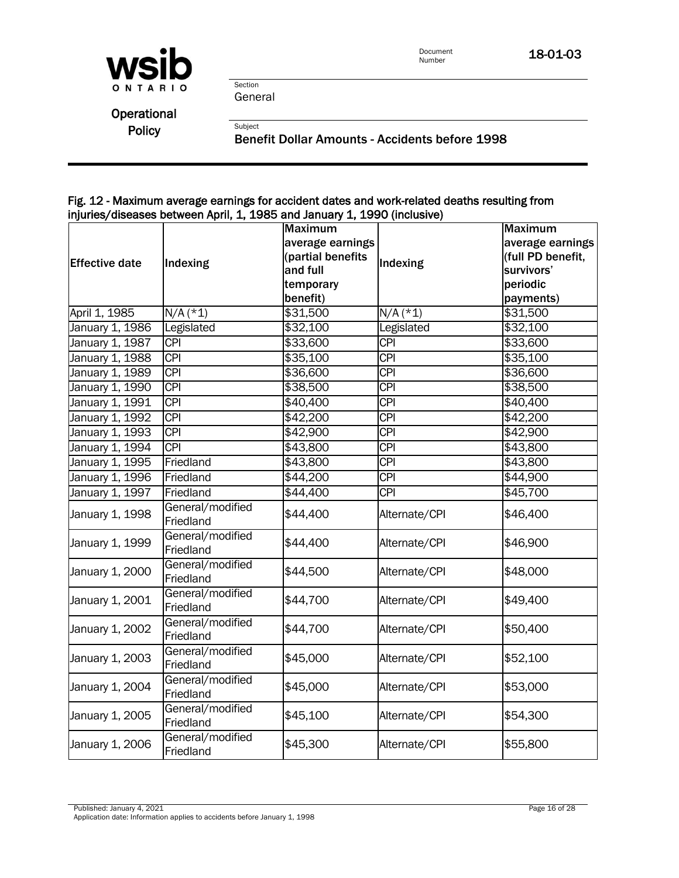

**Operational** 

Policy<br>Benefit Dollar Amounts - Accidents before 1998

#### Fig. 12 - Maximum average earnings for accident dates and work-related deaths resulting from injuries/diseases between April, 1, 1985 and January 1, 1990 (inclusive)

|                       |                               | <b>Maximum</b>    |                                                                                                                                                                                                                                                                                                                                                                                                                                                                                                                                                                                                                                                      | <b>Maximum</b>    |
|-----------------------|-------------------------------|-------------------|------------------------------------------------------------------------------------------------------------------------------------------------------------------------------------------------------------------------------------------------------------------------------------------------------------------------------------------------------------------------------------------------------------------------------------------------------------------------------------------------------------------------------------------------------------------------------------------------------------------------------------------------------|-------------------|
|                       |                               | average earnings  |                                                                                                                                                                                                                                                                                                                                                                                                                                                                                                                                                                                                                                                      | average earnings  |
| <b>Effective date</b> |                               | (partial benefits |                                                                                                                                                                                                                                                                                                                                                                                                                                                                                                                                                                                                                                                      | (full PD benefit, |
|                       | Indexing                      | and full          | Indexing<br>survivors'<br>periodic<br>$N/A$ (*1)<br>\$31,500<br>Legislated<br>\$32,100<br>$\overline{CPI}$<br>\$33,600<br><b>CPI</b><br>\$35,100<br>$\overline{CPI}$<br>\$36,600<br><b>CPI</b><br>\$38,500<br>$\overline{CPI}$<br>\$40,400<br><b>CPI</b><br>\$42,200<br><b>CPI</b><br>\$42,900<br>$\overline{CPI}$<br>\$43,800<br><b>CPI</b><br>\$43,800<br><b>CPI</b><br>\$44,900<br><b>CPI</b><br>\$45,700<br>Alternate/CPI<br>\$46,400<br>\$46,900<br>Alternate/CPI<br>Alternate/CPI<br>\$48,000<br>Alternate/CPI<br>\$49,400<br>Alternate/CPI<br>\$50,400<br>Alternate/CPI<br>\$52,100<br>\$53,000<br>Alternate/CPI<br>Alternate/CPI<br>\$54,300 |                   |
|                       |                               | temporary         |                                                                                                                                                                                                                                                                                                                                                                                                                                                                                                                                                                                                                                                      |                   |
|                       |                               | benefit)          |                                                                                                                                                                                                                                                                                                                                                                                                                                                                                                                                                                                                                                                      | payments)         |
| April 1, 1985         | $N/A$ (*1)                    | \$31,500          |                                                                                                                                                                                                                                                                                                                                                                                                                                                                                                                                                                                                                                                      |                   |
| January 1, 1986       | Legislated                    | \$32,100          |                                                                                                                                                                                                                                                                                                                                                                                                                                                                                                                                                                                                                                                      |                   |
| January 1, 1987       | <b>CPI</b>                    | \$33,600          |                                                                                                                                                                                                                                                                                                                                                                                                                                                                                                                                                                                                                                                      |                   |
| January 1, 1988       | $\overline{CPI}$              | \$35,100          |                                                                                                                                                                                                                                                                                                                                                                                                                                                                                                                                                                                                                                                      |                   |
| January 1, 1989       | <b>CPI</b>                    | \$36,600          |                                                                                                                                                                                                                                                                                                                                                                                                                                                                                                                                                                                                                                                      |                   |
| January 1, 1990       | $\overline{CPI}$              | \$38,500          |                                                                                                                                                                                                                                                                                                                                                                                                                                                                                                                                                                                                                                                      |                   |
| January 1, 1991       | $\overline{CPI}$              | \$40,400          |                                                                                                                                                                                                                                                                                                                                                                                                                                                                                                                                                                                                                                                      |                   |
| January 1, 1992       | <b>CPI</b>                    | \$42,200          |                                                                                                                                                                                                                                                                                                                                                                                                                                                                                                                                                                                                                                                      |                   |
| January 1, 1993       | <b>CPI</b>                    | \$42,900          |                                                                                                                                                                                                                                                                                                                                                                                                                                                                                                                                                                                                                                                      |                   |
| January 1, 1994       | <b>CPI</b>                    | \$43,800          |                                                                                                                                                                                                                                                                                                                                                                                                                                                                                                                                                                                                                                                      |                   |
| January 1, 1995       | Friedland                     | \$43,800          |                                                                                                                                                                                                                                                                                                                                                                                                                                                                                                                                                                                                                                                      |                   |
| January 1, 1996       | Friedland                     | \$44,200          |                                                                                                                                                                                                                                                                                                                                                                                                                                                                                                                                                                                                                                                      |                   |
| January 1, 1997       | Friedland                     | \$44,400          |                                                                                                                                                                                                                                                                                                                                                                                                                                                                                                                                                                                                                                                      |                   |
| January 1, 1998       | General/modified<br>Friedland | \$44,400          |                                                                                                                                                                                                                                                                                                                                                                                                                                                                                                                                                                                                                                                      |                   |
| January 1, 1999       | General/modified<br>Friedland | \$44,400          |                                                                                                                                                                                                                                                                                                                                                                                                                                                                                                                                                                                                                                                      |                   |
| January 1, 2000       | General/modified<br>Friedland | \$44,500          |                                                                                                                                                                                                                                                                                                                                                                                                                                                                                                                                                                                                                                                      |                   |
| January 1, 2001       | General/modified<br>Friedland | \$44,700          |                                                                                                                                                                                                                                                                                                                                                                                                                                                                                                                                                                                                                                                      |                   |
| January 1, 2002       | General/modified<br>Friedland | \$44,700          |                                                                                                                                                                                                                                                                                                                                                                                                                                                                                                                                                                                                                                                      |                   |
| January 1, 2003       | General/modified<br>Friedland | \$45,000          |                                                                                                                                                                                                                                                                                                                                                                                                                                                                                                                                                                                                                                                      |                   |
| January 1, 2004       | General/modified<br>Friedland | \$45,000          |                                                                                                                                                                                                                                                                                                                                                                                                                                                                                                                                                                                                                                                      |                   |
| January 1, 2005       | General/modified<br>Friedland | \$45,100          |                                                                                                                                                                                                                                                                                                                                                                                                                                                                                                                                                                                                                                                      |                   |
| January 1, 2006       | General/modified<br>Friedland | \$45,300          | Alternate/CPI                                                                                                                                                                                                                                                                                                                                                                                                                                                                                                                                                                                                                                        | \$55,800          |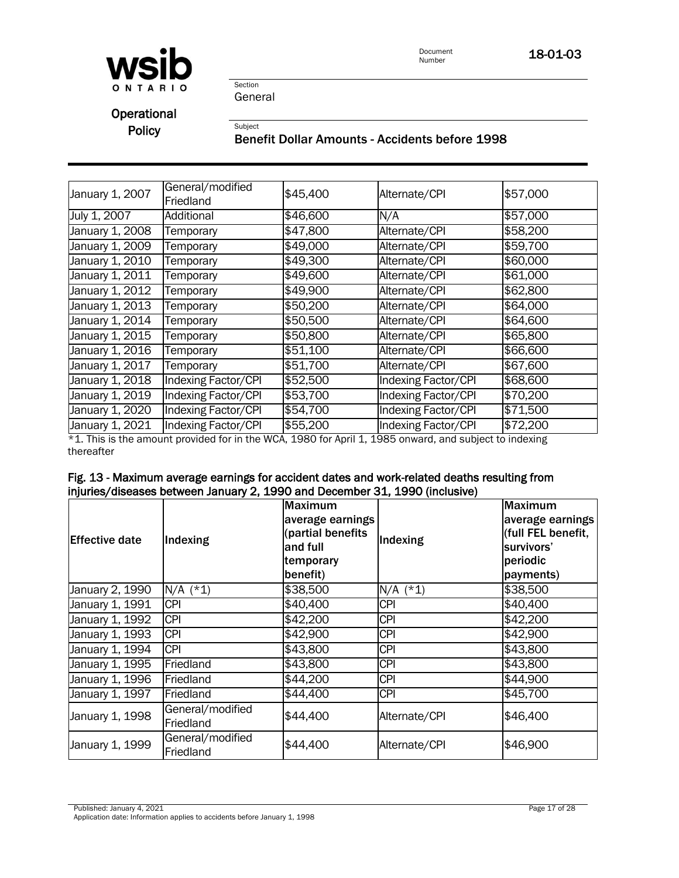

Section General

**Operational** 

## Policy<br>Benefit Dollar Amounts - Accidents before 1998

| January 1, 2007               | General/modified<br>Friedland | \$45,400 | Alternate/CPI       | \$57,000 |
|-------------------------------|-------------------------------|----------|---------------------|----------|
| July 1, 2007                  | Additional                    | \$46,600 | N/A                 | \$57,000 |
| January 1, 2008               | Temporary                     | \$47,800 | Alternate/CPI       | \$58,200 |
| January 1, 2009               | Temporary                     | \$49,000 | Alternate/CPI       | \$59,700 |
| January 1, 2010               | Temporary                     | \$49,300 | Alternate/CPI       | \$60,000 |
| January 1, 20 $\overline{11}$ | Temporary                     | \$49,600 | Alternate/CPI       | \$61,000 |
| January 1, 2012               | Temporary                     | \$49,900 | Alternate/CPI       | \$62,800 |
| January 1, 2013               | Temporary                     | \$50,200 | Alternate/CPI       | \$64,000 |
| January 1, 2014               | Temporary                     | \$50,500 | Alternate/CPI       | \$64,600 |
| January 1, 2015               | Temporary                     | \$50,800 | Alternate/CPI       | \$65,800 |
| January 1, 2016               | Temporary                     | \$51,100 | Alternate/CPI       | \$66,600 |
| January 1, 2017               | Temporary                     | \$51,700 | Alternate/CPI       | \$67,600 |
| January 1, 20 $\overline{18}$ | Indexing Factor/CPI           | \$52,500 | Indexing Factor/CPI | \$68,600 |
| January 1, 2019               | Indexing Factor/CPI           | \$53,700 | Indexing Factor/CPI | \$70,200 |
| January 1, 2020               | Indexing Factor/CPI           | \$54,700 | Indexing Factor/CPI | \$71,500 |
| January 1, 2021               | Indexing Factor/CPI           | \$55,200 | Indexing Factor/CPI | \$72,200 |

\*1. This is the amount provided for in the WCA, 1980 for April 1, 1985 onward, and subject to indexing thereafter

| <b>Effective date</b> | Indexing                      | <b>Maximum</b><br>average earnings<br>(partial benefits<br>and full<br>temporary<br>benefit) | Indexing      | <b>Maximum</b><br>average earnings<br>(full FEL benefit,<br>survivors'<br>periodic<br>payments) |
|-----------------------|-------------------------------|----------------------------------------------------------------------------------------------|---------------|-------------------------------------------------------------------------------------------------|
| January 2, 1990       | $N/A$ (*1)                    | \$38,500                                                                                     | $N/A$ (*1)    | \$38,500                                                                                        |
| January 1, 1991       | <b>CPI</b>                    | \$40,400                                                                                     | <b>CPI</b>    | \$40,400                                                                                        |
| January 1, 1992       | <b>CPI</b>                    | \$42,200                                                                                     | <b>CPI</b>    | \$42,200                                                                                        |
| January 1, 1993       | <b>CPI</b>                    | \$42,900                                                                                     | <b>CPI</b>    | \$42,900                                                                                        |
| January 1, 1994       | <b>CPI</b>                    | \$43,800                                                                                     | <b>CPI</b>    | \$43,800                                                                                        |
| January 1, 1995       | Friedland                     | \$43,800                                                                                     | <b>CPI</b>    | \$43,800                                                                                        |
| January 1, 1996       | Friedland                     | \$44,200                                                                                     | <b>CPI</b>    | \$44,900                                                                                        |
| January 1, 1997       | Friedland                     | \$44,400                                                                                     | <b>CPI</b>    | \$45,700                                                                                        |
| January 1, 1998       | General/modified<br>Friedland | \$44,400                                                                                     | Alternate/CPI | \$46,400                                                                                        |
| January 1, 1999       | General/modified<br>Friedland | \$44,400                                                                                     | Alternate/CPI | \$46,900                                                                                        |

#### Fig. 13 - Maximum average earnings for accident dates and work-related deaths resulting from injuries/diseases between January 2, 1990 and December 31, 1990 (inclusive)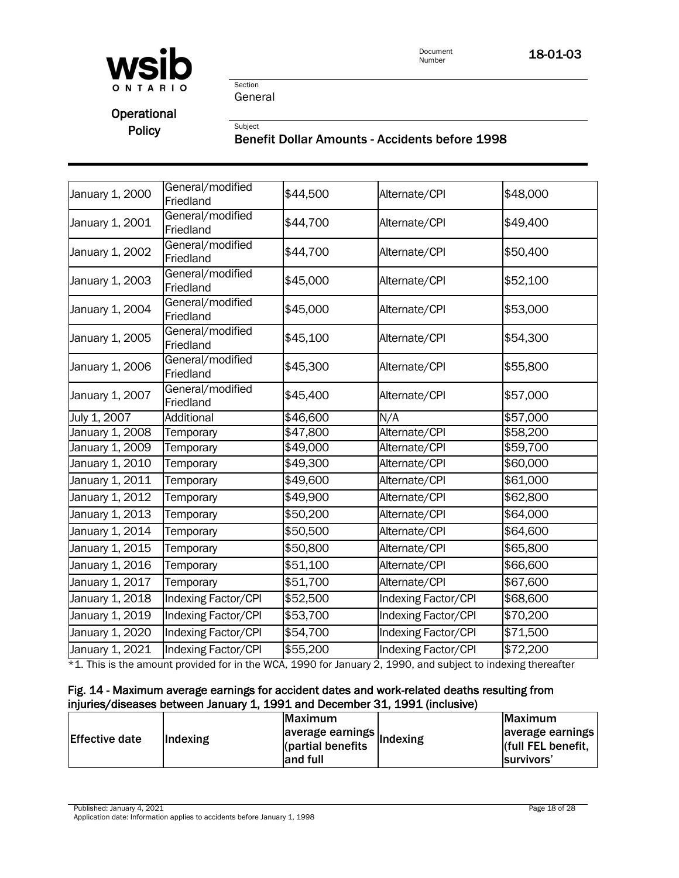

Section General

**Operational** 

# Policy<br>Benefit Dollar Amounts - Accidents before 1998

| January 1, 2000 | General/modified<br>Friedland | \$44,500 | Alternate/CPI       | \$48,000 |
|-----------------|-------------------------------|----------|---------------------|----------|
| January 1, 2001 | General/modified<br>Friedland | \$44,700 | Alternate/CPI       | \$49,400 |
| January 1, 2002 | General/modified<br>Friedland | \$44,700 | Alternate/CPI       | \$50,400 |
| January 1, 2003 | General/modified<br>Friedland | \$45,000 | Alternate/CPI       | \$52,100 |
| January 1, 2004 | General/modified<br>Friedland | \$45,000 | Alternate/CPI       | \$53,000 |
| January 1, 2005 | General/modified<br>Friedland | \$45,100 | Alternate/CPI       | \$54,300 |
| January 1, 2006 | General/modified<br>Friedland | \$45,300 | Alternate/CPI       | \$55,800 |
| January 1, 2007 | General/modified<br>Friedland | \$45,400 | Alternate/CPI       | \$57,000 |
| July 1, 2007    | <b>Additional</b>             | \$46,600 | N/A                 | \$57,000 |
| January 1, 2008 | Temporary                     | \$47,800 | Alternate/CPI       | \$58,200 |
| January 1, 2009 | Temporary                     | \$49,000 | Alternate/CPI       | \$59,700 |
| January 1, 2010 | Temporary                     | \$49,300 | Alternate/CPI       | \$60,000 |
| January 1, 2011 | Temporary                     | \$49,600 | Alternate/CPI       | \$61,000 |
| January 1, 2012 | Temporary                     | \$49,900 | Alternate/CPI       | \$62,800 |
| January 1, 2013 | Temporary                     | \$50,200 | Alternate/CPI       | \$64,000 |
| January 1, 2014 | Temporary                     | \$50,500 | Alternate/CPI       | \$64,600 |
| January 1, 2015 | Temporary                     | \$50,800 | Alternate/CPI       | \$65,800 |
| January 1, 2016 | Temporary                     | \$51,100 | Alternate/CPI       | \$66,600 |
| January 1, 2017 | Temporary                     | \$51,700 | Alternate/CPI       | \$67,600 |
| January 1, 2018 | Indexing Factor/CPI           | \$52,500 | Indexing Factor/CPI | \$68,600 |
| January 1, 2019 | <b>Indexing Factor/CPI</b>    | \$53,700 | Indexing Factor/CPI | \$70,200 |
| January 1, 2020 | <b>Indexing Factor/CPI</b>    | \$54,700 | Indexing Factor/CPI | \$71,500 |
| January 1, 2021 | Indexing Factor/CPI           | \$55,200 | Indexing Factor/CPI | \$72,200 |
|                 |                               |          |                     |          |

\*1. This is the amount provided for in the WCA, 1990 for January 2, 1990, and subject to indexing thereafter \*1. This is the amount provided for in the WCA, 1990 for January 2, 1990, and subject to indexing thereafter

#### Fig. 14 - Maximum average earnings for accident dates and work-related deaths resulting from injuries/diseases between January 1, 1991 and December 31, 1991 (inclusive)

|                       |                 | <b>IMaximum</b>                                                     | Maximum                                                    |
|-----------------------|-----------------|---------------------------------------------------------------------|------------------------------------------------------------|
| <b>Effective date</b> | <b>Indexing</b> | average earnings $\vert$ Indexing<br>(partial benefits)<br>and full | average earnings<br>(full FEL benefit,<br><b>Survivors</b> |

Published: January 4, 2021 Page 18 of 28

Application date: Information applies to accidents before January 1, 1998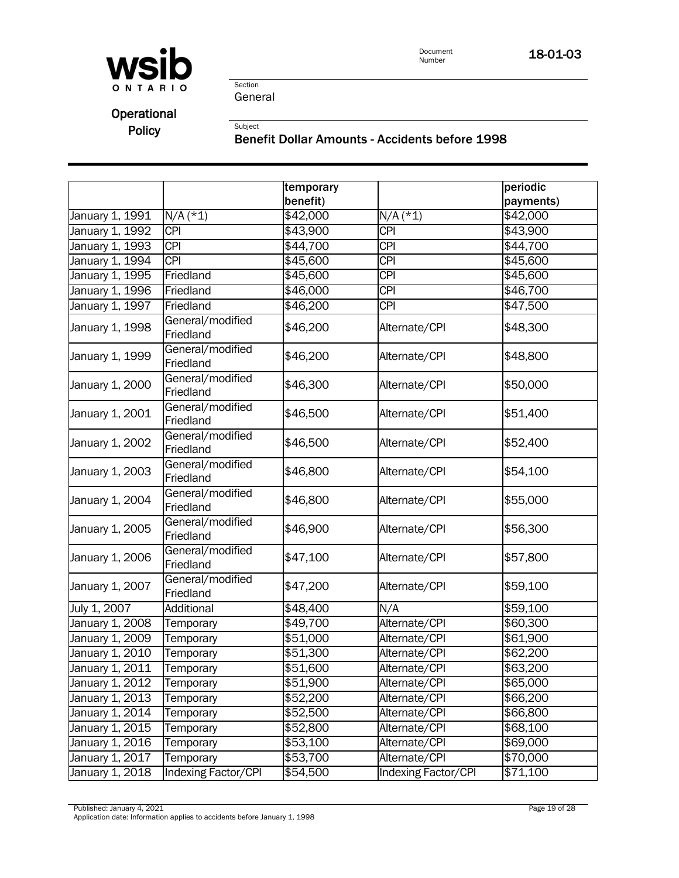

Operational

Policy<br>Benefit Dollar Amounts - Accidents before 1998

|                 |                               | temporary |                     | periodic  |
|-----------------|-------------------------------|-----------|---------------------|-----------|
|                 |                               | benefit)  |                     | payments) |
| January 1, 1991 | $N/A$ (*1)                    | \$42,000  | $N/A$ (*1)          | \$42,000  |
| January 1, 1992 | <b>CPI</b>                    | \$43,900  | <b>CPI</b>          | \$43,900  |
| January 1, 1993 | $\overline{CPI}$              | \$44,700  | $\overline{CPI}$    | \$44,700  |
| January 1, 1994 | <b>CPI</b>                    | \$45,600  | $\overline{CPI}$    | \$45,600  |
| January 1, 1995 | Friedland                     | \$45,600  | $\overline{CPI}$    | \$45,600  |
| January 1, 1996 | Friedland                     | \$46,000  | $\overline{CPI}$    | \$46,700  |
| January 1, 1997 | Friedland                     | \$46,200  | <b>CPI</b>          | \$47,500  |
| January 1, 1998 | General/modified<br>Friedland | \$46,200  | Alternate/CPI       | \$48,300  |
| January 1, 1999 | General/modified<br>Friedland | \$46,200  | Alternate/CPI       | \$48,800  |
| January 1, 2000 | General/modified<br>Friedland | \$46,300  | Alternate/CPI       | \$50,000  |
| January 1, 2001 | General/modified<br>Friedland | \$46,500  | Alternate/CPI       | \$51,400  |
| January 1, 2002 | General/modified<br>Friedland | \$46,500  | Alternate/CPI       | \$52,400  |
| January 1, 2003 | General/modified<br>Friedland | \$46,800  | Alternate/CPI       | \$54,100  |
| January 1, 2004 | General/modified<br>Friedland | \$46,800  | Alternate/CPI       | \$55,000  |
| January 1, 2005 | General/modified<br>Friedland | \$46,900  | Alternate/CPI       | \$56,300  |
| January 1, 2006 | General/modified<br>Friedland | \$47,100  | Alternate/CPI       | \$57,800  |
| January 1, 2007 | General/modified<br>Friedland | \$47,200  | Alternate/CPI       | \$59,100  |
| July 1, 2007    | Additional                    | \$48,400  | N/A                 | \$59,100  |
| January 1, 2008 | Temporary                     | \$49,700  | Alternate/CPI       | \$60,300  |
| January 1, 2009 | Temporary                     | \$51,000  | Alternate/CPI       | \$61,900  |
| January 1, 2010 | Temporary                     | \$51,300  | Alternate/CPI       | \$62,200  |
| January 1, 2011 | Temporary                     | \$51,600  | Alternate/CPI       | \$63,200  |
| January 1, 2012 | Temporary                     | \$51,900  | Alternate/CPI       | \$65,000  |
| January 1, 2013 | Temporary                     | \$52,200  | Alternate/CPI       | \$66,200  |
| January 1, 2014 | Temporary                     | \$52,500  | Alternate/CPI       | \$66,800  |
| January 1, 2015 | Temporary                     | \$52,800  | Alternate/CPI       | \$68,100  |
| January 1, 2016 | Temporary                     | \$53,100  | Alternate/CPI       | \$69,000  |
| January 1, 2017 | Temporary                     | \$53,700  | Alternate/CPI       | \$70,000  |
| January 1, 2018 | Indexing Factor/CPI           | \$54,500  | Indexing Factor/CPI | \$71,100  |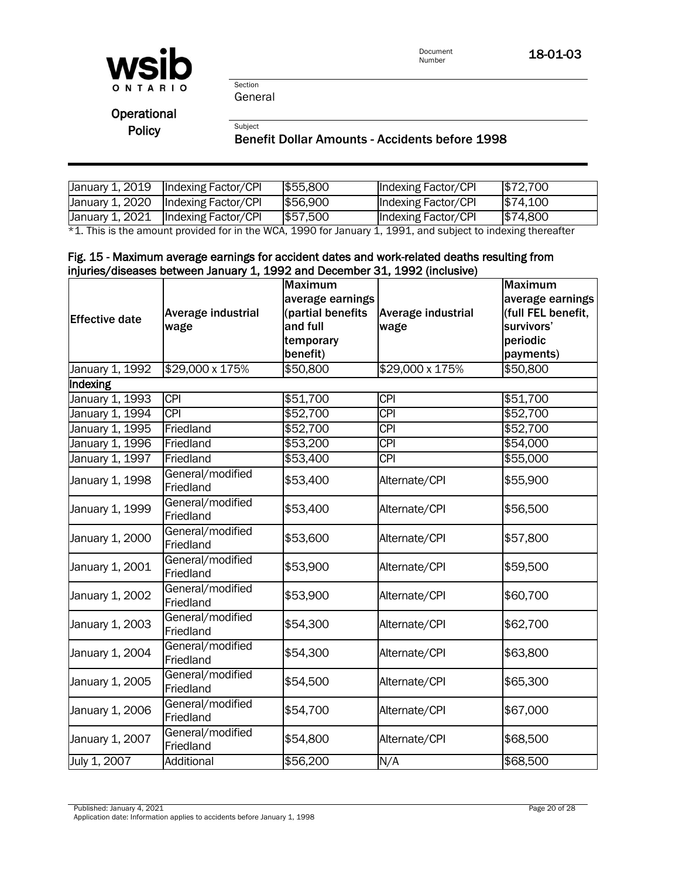

Section General

**Operational** 

## Policy<br>Benefit Dollar Amounts - Accidents before 1998

| January 1, 2019 | Indexing Factor/CPI | \$55,800 | Indexing Factor/CPI | \$72,700 |
|-----------------|---------------------|----------|---------------------|----------|
| January 1, 2020 | Indexing Factor/CPI | \$56,900 | Indexing Factor/CPI | \$74,100 |
| January 1, 2021 | Indexing Factor/CPI | \$57,500 | Indexing Factor/CPI | \$74,800 |

\*1. This is the amount provided for in the WCA, 1990 for January 1, 1991, and subject to indexing thereafter

#### Fig. 15 - Maximum average earnings for accident dates and work-related deaths resulting from injuries/diseases between January 1, 1992 and December 31, 1992 (inclusive)

|                       |                               | <b>Maximum</b>    |                           | <b>Maximum</b>     |
|-----------------------|-------------------------------|-------------------|---------------------------|--------------------|
|                       |                               | average earnings  |                           | average earnings   |
| <b>Effective date</b> | Average industrial            | (partial benefits | <b>Average industrial</b> | (full FEL benefit, |
|                       | wage                          | and full          | wage                      | survivors'         |
|                       |                               | temporary         |                           | periodic           |
|                       |                               | benefit)          |                           | payments)          |
| January 1, 1992       | \$29,000 x 175%               | \$50,800          | \$29,000 x 175%           | \$50,800           |
| Indexing              |                               |                   |                           |                    |
| January 1, 1993       | <b>CPI</b>                    | \$51,700          | <b>CPI</b>                | \$51,700           |
| January 1, 1994       | $\overline{CPI}$              | \$52,700          | <b>CPI</b>                | \$52,700           |
| January 1, 1995       | Friedland                     | \$52,700          | <b>CPI</b>                | \$52,700           |
| January 1, 1996       | Friedland                     | \$53,200          | <b>CPI</b>                | \$54,000           |
| January 1, 1997       | Friedland                     | \$53,400          | <b>CPI</b>                | \$55,000           |
| January 1, 1998       | General/modified<br>Friedland | \$53,400          | Alternate/CPI             | \$55,900           |
| January 1, 1999       | General/modified<br>Friedland | \$53,400          | Alternate/CPI             | \$56,500           |
| January 1, 2000       | General/modified<br>Friedland | \$53,600          | Alternate/CPI             | \$57,800           |
| January 1, 2001       | General/modified<br>Friedland | \$53,900          | Alternate/CPI             | \$59,500           |
| January 1, 2002       | General/modified<br>Friedland | \$53,900          | Alternate/CPI             | \$60,700           |
| January 1, 2003       | General/modified<br>Friedland | \$54,300          | Alternate/CPI             | \$62,700           |
| January 1, 2004       | General/modified<br>Friedland | \$54,300          | Alternate/CPI             | \$63,800           |
| January 1, 2005       | General/modified<br>Friedland | \$54,500          | Alternate/CPI             | \$65,300           |
| January 1, 2006       | General/modified<br>Friedland | \$54,700          | Alternate/CPI             | \$67,000           |
| January 1, 2007       | General/modified<br>Friedland | \$54,800          | Alternate/CPI             | \$68,500           |
| July 1, 2007          | Additional                    | \$56,200          | N/A                       | \$68,500           |

Published: January 4, 2021 Page 20 of 28 Application date: Information applies to accidents before January 1, 1998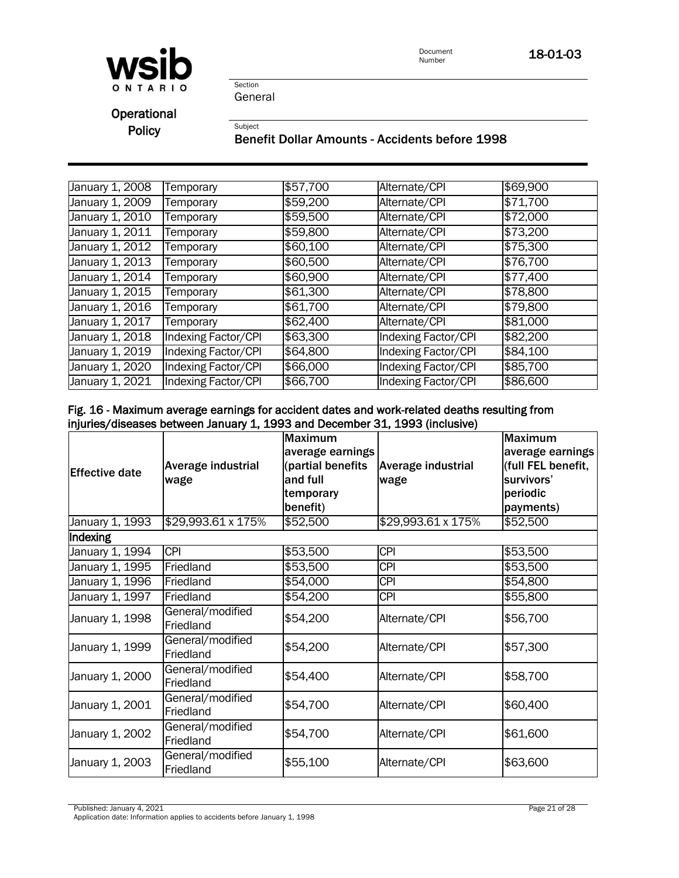

Section General

**Operational** 

Policy<br>Benefit Dollar Amounts - Accidents before 1998

| January 1, 2008              | Temporary                  | \$57,700 | Alternate/CPI       | \$69,900 |
|------------------------------|----------------------------|----------|---------------------|----------|
| January 1, 2009              | Temporary                  | \$59,200 | Alternate/CPI       | \$71,700 |
| January 1, $20\overline{10}$ | Temporary                  | \$59,500 | Alternate/CPI       | \$72,000 |
| January 1, 2011              | Temporary                  | \$59,800 | Alternate/CPI       | \$73,200 |
| January 1, 2012              | Temporary                  | \$60,100 | Alternate/CPI       | \$75,300 |
| January 1, 2013              | Temporary                  | \$60,500 | Alternate/CPI       | \$76,700 |
| January 1, 2014              | Temporary                  | \$60,900 | Alternate/CPI       | \$77,400 |
| January 1, 2015              | Temporary                  | \$61,300 | Alternate/CPI       | \$78,800 |
| January 1, 2016              | Temporary                  | \$61,700 | Alternate/CPI       | \$79,800 |
| January 1, 2017              | Temporary                  | \$62,400 | Alternate/CPI       | \$81,000 |
| January 1, 2018              | Indexing Factor/CPI        | \$63,300 | Indexing Factor/CPI | \$82,200 |
| January 1, 2019              | <b>Indexing Factor/CPI</b> | \$64,800 | Indexing Factor/CPI | \$84,100 |
| January 1, 2020              | Indexing Factor/CPI        | \$66,000 | Indexing Factor/CPI | \$85,700 |
| January 1, $20\overline{21}$ | Indexing Factor/CPI        | \$66,700 | Indexing Factor/CPI | \$86,600 |

#### Fig. 16 - Maximum average earnings for accident dates and work-related deaths resulting from injuries/diseases between January 1, 1993 and December 31, 1993 (inclusive)

| <b>Effective date</b> | Average industrial<br>wage    | <b>Maximum</b><br>average earnings<br>(partial benefits<br>and full<br>temporary<br>benefit) | Average industrial<br>wage | <b>Maximum</b><br>average earnings<br>(full FEL benefit,<br>survivors'<br>periodic<br>payments) |
|-----------------------|-------------------------------|----------------------------------------------------------------------------------------------|----------------------------|-------------------------------------------------------------------------------------------------|
| January 1, 1993       | \$29,993.61 x 175%            | \$52,500                                                                                     | \$29,993.61 x 175%         | \$52,500                                                                                        |
| Indexing              |                               |                                                                                              |                            |                                                                                                 |
| January 1, 1994       | <b>CPI</b>                    | \$53,500                                                                                     | <b>CPI</b>                 | \$53,500                                                                                        |
| January 1, 1995       | Friedland                     | \$53,500                                                                                     | <b>CPI</b>                 | \$53,500                                                                                        |
| January 1, 1996       | Friedland                     | \$54,000                                                                                     | <b>CPI</b>                 | \$54,800                                                                                        |
| January 1, 1997       | Friedland                     | \$54,200                                                                                     | <b>CPI</b>                 | \$55,800                                                                                        |
| January 1, 1998       | General/modified<br>Friedland | \$54,200                                                                                     | Alternate/CPI              | \$56,700                                                                                        |
| January 1, 1999       | General/modified<br>Friedland | \$54,200                                                                                     | Alternate/CPI              | \$57,300                                                                                        |
| January 1, 2000       | General/modified<br>Friedland | \$54,400                                                                                     | Alternate/CPI              | \$58,700                                                                                        |
| January 1, 2001       | General/modified<br>Friedland | \$54,700                                                                                     | Alternate/CPI              | \$60,400                                                                                        |
| January 1, 2002       | General/modified<br>Friedland | \$54,700                                                                                     | Alternate/CPI              | \$61,600                                                                                        |
| January 1, 2003       | General/modified<br>Friedland | \$55,100                                                                                     | Alternate/CPI              | \$63,600                                                                                        |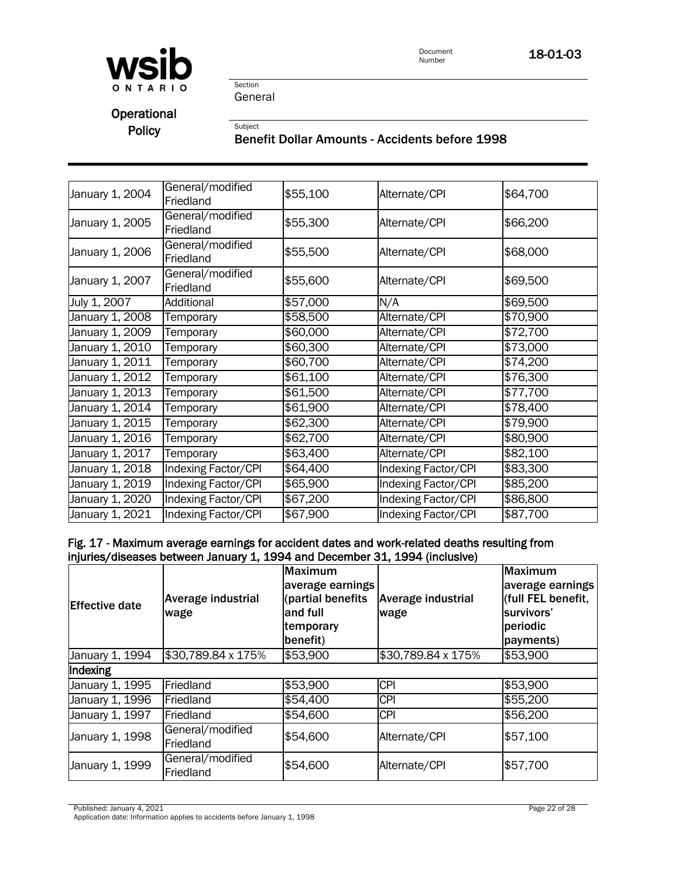

Section General

**Operational** 

# Policy<br>Benefit Dollar Amounts - Accidents before 1998

| January 1, 2004 | General/modified<br>Friedland | \$55,100 | Alternate/CPI       | \$64,700 |
|-----------------|-------------------------------|----------|---------------------|----------|
| January 1, 2005 | General/modified<br>Friedland | \$55,300 | Alternate/CPI       | \$66,200 |
| January 1, 2006 | General/modified<br>Friedland | \$55,500 | Alternate/CPI       | \$68,000 |
| January 1, 2007 | General/modified<br>Friedland | \$55,600 | Alternate/CPI       | \$69,500 |
| July 1, 2007    | Additional                    | \$57,000 | N/A                 | \$69,500 |
| January 1, 2008 | Temporary                     | \$58,500 | Alternate/CPI       | \$70,900 |
| January 1, 2009 | Temporary                     | \$60,000 | Alternate/CPI       | \$72,700 |
| January 1, 2010 | Temporary                     | \$60,300 | Alternate/CPI       | \$73,000 |
| January 1, 2011 | Temporary                     | \$60,700 | Alternate/CPI       | \$74,200 |
| January 1, 2012 | Temporary                     | \$61,100 | Alternate/CPI       | \$76,300 |
| January 1, 2013 | Temporary                     | \$61,500 | Alternate/CPI       | \$77,700 |
| January 1, 2014 | Temporary                     | \$61,900 | Alternate/CPI       | \$78,400 |
| January 1, 2015 | Temporary                     | \$62,300 | Alternate/CPI       | \$79,900 |
| January 1, 2016 | Temporary                     | \$62,700 | Alternate/CPI       | \$80,900 |
| January 1, 2017 | Temporary                     | \$63,400 | Alternate/CPI       | \$82,100 |
| January 1, 2018 | <b>Indexing Factor/CPI</b>    | \$64,400 | Indexing Factor/CPI | \$83,300 |
| January 1, 2019 | Indexing Factor/CPI           | \$65,900 | Indexing Factor/CPI | \$85,200 |
| January 1, 2020 | Indexing Factor/CPI           | \$67,200 | Indexing Factor/CPI | \$86,800 |
| January 1, 2021 | Indexing Factor/CPI           | \$67,900 | Indexing Factor/CPI | \$87,700 |

#### Fig. 17 - Maximum average earnings for accident dates and work-related deaths resulting from injuries/diseases between January 1, 1994 and December 31, 1994 (inclusive)

| <b>Effective date</b> | Average industrial<br>wage    | <b>Maximum</b><br>average earnings<br>(partial benefits<br>and full<br>temporary<br>benefit) | <b>Average industrial</b><br>wage | Maximum<br>average earnings<br>(full FEL benefit,<br>survivors'<br>periodic<br>payments) |  |  |
|-----------------------|-------------------------------|----------------------------------------------------------------------------------------------|-----------------------------------|------------------------------------------------------------------------------------------|--|--|
| January 1, 1994       | \$30,789.84 x 175%            | \$53,900                                                                                     | \$30,789.84 x 175%                | \$53,900                                                                                 |  |  |
| Indexing              |                               |                                                                                              |                                   |                                                                                          |  |  |
| January 1, 1995       | Friedland                     | \$53,900                                                                                     | <b>CPI</b>                        | \$53,900                                                                                 |  |  |
| January 1, 1996       | Friedland                     | \$54,400                                                                                     | <b>CPI</b>                        | \$55,200                                                                                 |  |  |
| January 1, 1997       | Friedland                     | \$54,600                                                                                     | <b>CPI</b>                        | \$56,200                                                                                 |  |  |
| January 1, 1998       | General/modified<br>Friedland | \$54,600                                                                                     | Alternate/CPI                     | \$57,100                                                                                 |  |  |
| January 1, 1999       | General/modified<br>Friedland | \$54,600                                                                                     | Alternate/CPI                     | \$57,700                                                                                 |  |  |

Published: January 4, 2021 Page 22 of 28

Application date: Information applies to accidents before January 1, 1998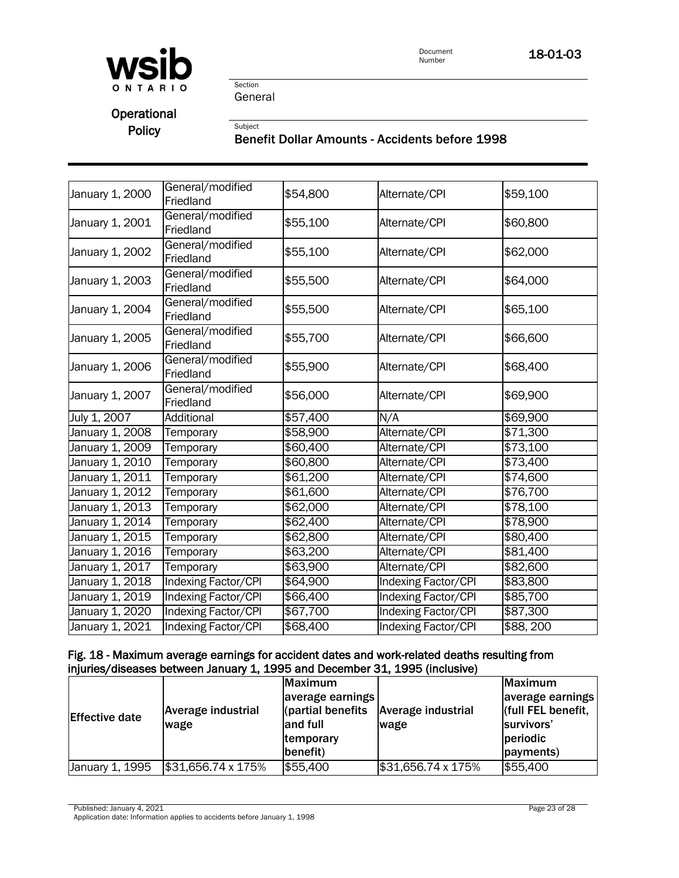

Section General

**Operational** 

# Policy<br>Benefit Dollar Amounts - Accidents before 1998

| January 1, 2000 | General/modified<br>Friedland | \$54,800 | Alternate/CPI              | \$59,100 |
|-----------------|-------------------------------|----------|----------------------------|----------|
| January 1, 2001 | General/modified<br>Friedland | \$55,100 | Alternate/CPI              | \$60,800 |
| January 1, 2002 | General/modified<br>Friedland | \$55,100 | Alternate/CPI              | \$62,000 |
| January 1, 2003 | General/modified<br>Friedland | \$55,500 | Alternate/CPI              | \$64,000 |
| January 1, 2004 | General/modified<br>Friedland | \$55,500 | Alternate/CPI              | \$65,100 |
| January 1, 2005 | General/modified<br>Friedland | \$55,700 | Alternate/CPI              | \$66,600 |
| January 1, 2006 | General/modified<br>Friedland | \$55,900 | Alternate/CPI              | \$68,400 |
| January 1, 2007 | General/modified<br>Friedland | \$56,000 | Alternate/CPI              | \$69,900 |
| July 1, 2007    | Additional                    | \$57,400 | N/A                        | \$69,900 |
| January 1, 2008 | Temporary                     | \$58,900 | Alternate/CPI              | \$71,300 |
| January 1, 2009 | Temporary                     | \$60,400 | Alternate/CPI              | \$73,100 |
| January 1, 2010 | Temporary                     | \$60,800 | Alternate/CPI              | \$73,400 |
| January 1, 2011 | Temporary                     | \$61,200 | Alternate/CPI              | \$74,600 |
| January 1, 2012 | Temporary                     | \$61,600 | Alternate/CPI              | \$76,700 |
| January 1, 2013 | Temporary                     | \$62,000 | Alternate/CPI              | \$78,100 |
| January 1, 2014 | Temporary                     | \$62,400 | Alternate/CPI              | \$78,900 |
| January 1, 2015 | Temporary                     | \$62,800 | Alternate/CPI              | \$80,400 |
| January 1, 2016 | Temporary                     | \$63,200 | Alternate/CPI              | \$81,400 |
| January 1, 2017 | Temporary                     | \$63,900 | Alternate/CPI              | \$82,600 |
| January 1, 2018 | Indexing Factor/CPI           | \$64,900 | <b>Indexing Factor/CPI</b> | \$83,800 |
| January 1, 2019 | <b>Indexing Factor/CPI</b>    | \$66,400 | <b>Indexing Factor/CPI</b> | \$85,700 |
| January 1, 2020 | <b>Indexing Factor/CPI</b>    | \$67,700 | <b>Indexing Factor/CPI</b> | \$87,300 |
| January 1, 2021 | <b>Indexing Factor/CPI</b>    | \$68,400 | Indexing Factor/CPI        | \$88,200 |

#### Fig. 18 - Maximum average earnings for accident dates and work-related deaths resulting from injuries/diseases between January 1, 1995 and December 31, 1995 (inclusive)

| <b>Effective date</b> | Average industrial<br>wage | Maximum<br>average earnings<br>(partial benefits<br>and full<br>temporary<br>(benefit) | Average industrial<br>wage | Maximum<br>average earnings<br>(full FEL benefit,<br>survivors'<br>periodic<br>payments) |
|-----------------------|----------------------------|----------------------------------------------------------------------------------------|----------------------------|------------------------------------------------------------------------------------------|
| January 1, 1995       | \$31,656.74 x 175%         | \$55,400                                                                               | \$31,656.74 x 175%         | \$55,400                                                                                 |

Published: January 4, 2021 Page 23 of 28

Application date: Information applies to accidents before January 1, 1998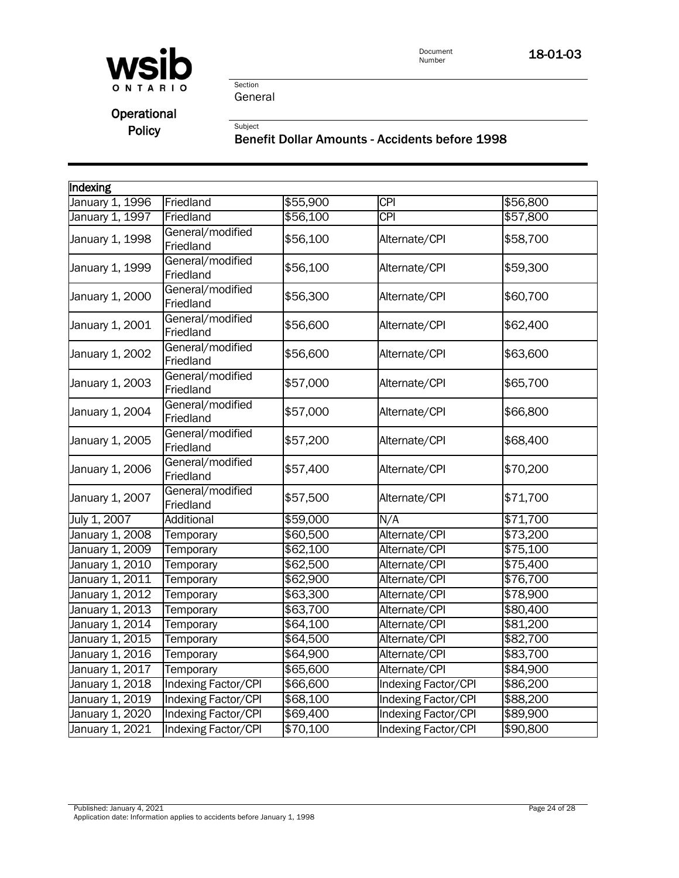

Document 18-01-03

Section General

## Operational

Policy<br>Benefit Dollar Amounts - Accidents before 1998

| Indexing        |                               |          |                     |          |
|-----------------|-------------------------------|----------|---------------------|----------|
| January 1, 1996 | Friedland                     | \$55,900 | $\overline{CPI}$    | \$56,800 |
| January 1, 1997 | Friedland                     | \$56,100 | <b>CPI</b>          | \$57,800 |
| January 1, 1998 | General/modified<br>Friedland | \$56,100 | Alternate/CPI       | \$58,700 |
| January 1, 1999 | General/modified<br>Friedland | \$56,100 | Alternate/CPI       | \$59,300 |
| January 1, 2000 | General/modified<br>Friedland | \$56,300 | Alternate/CPI       | \$60,700 |
| January 1, 2001 | General/modified<br>Friedland | \$56,600 | Alternate/CPI       | \$62,400 |
| January 1, 2002 | General/modified<br>Friedland | \$56,600 | Alternate/CPI       | \$63,600 |
| January 1, 2003 | General/modified<br>Friedland | \$57,000 | Alternate/CPI       | \$65,700 |
| January 1, 2004 | General/modified<br>Friedland | \$57,000 | Alternate/CPI       | \$66,800 |
| January 1, 2005 | General/modified<br>Friedland | \$57,200 | Alternate/CPI       | \$68,400 |
| January 1, 2006 | General/modified<br>Friedland | \$57,400 | Alternate/CPI       | \$70,200 |
| January 1, 2007 | General/modified<br>Friedland | \$57,500 | Alternate/CPI       | \$71,700 |
| July 1, 2007    | Additional                    | \$59,000 | N/A                 | \$71,700 |
| January 1, 2008 | Temporary                     | \$60,500 | Alternate/CPI       | \$73,200 |
| January 1, 2009 | Temporary                     | \$62,100 | Alternate/CPI       | \$75,100 |
| January 1, 2010 | Temporary                     | \$62,500 | Alternate/CPI       | \$75,400 |
| January 1, 2011 | Temporary                     | \$62,900 | Alternate/CPI       | \$76,700 |
| January 1, 2012 | Temporary                     | \$63,300 | Alternate/CPI       | \$78,900 |
| January 1, 2013 | Temporary                     | \$63,700 | Alternate/CPI       | \$80,400 |
| January 1, 2014 | Temporary                     | \$64,100 | Alternate/CPI       | \$81,200 |
| January 1, 2015 | Temporary                     | \$64,500 | Alternate/CPI       | \$82,700 |
| January 1, 2016 | Temporary                     | \$64,900 | Alternate/CPI       | \$83,700 |
| January 1, 2017 | Temporary                     | \$65,600 | Alternate/CPI       | \$84,900 |
| January 1, 2018 | <b>Indexing Factor/CPI</b>    | \$66,600 | Indexing Factor/CPI | \$86,200 |
| January 1, 2019 | <b>Indexing Factor/CPI</b>    | \$68,100 | Indexing Factor/CPI | \$88,200 |
| January 1, 2020 | <b>Indexing Factor/CPI</b>    | \$69,400 | Indexing Factor/CPI | \$89,900 |
| January 1, 2021 | <b>Indexing Factor/CPI</b>    | \$70,100 | Indexing Factor/CPI | \$90,800 |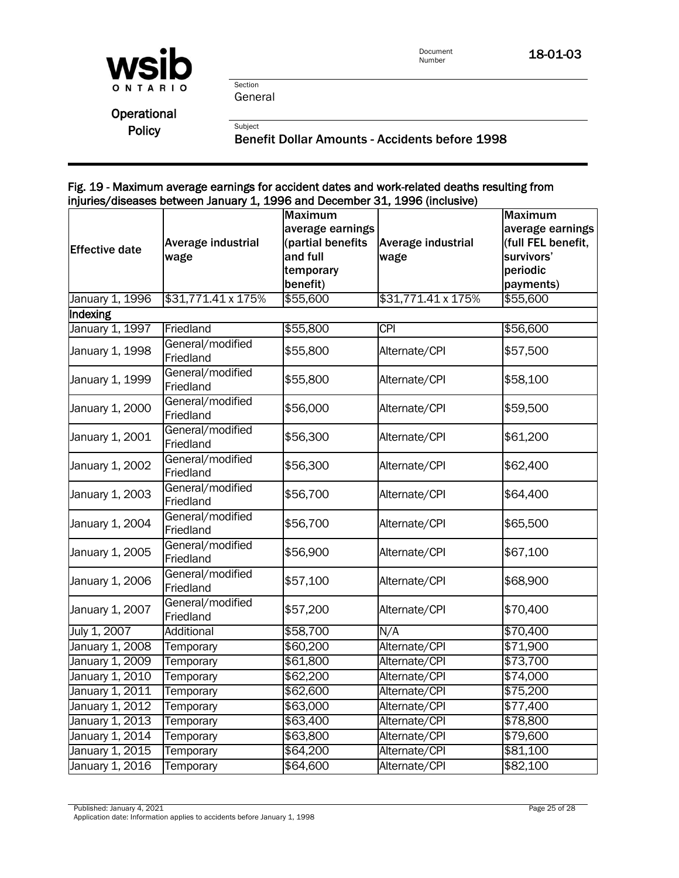

**Operational** 

Policy<br>Benefit Dollar Amounts - Accidents before 1998

#### Fig. 19 - Maximum average earnings for accident dates and work-related deaths resulting from injuries/diseases between January 1, 1996 and December 31, 1996 (inclusive)

|                       | $m$ and $m$ and $m$ and $m$ are $m$ and $m$ are $m$ and $m$ are $m$ and $m$ are $m$ | <b>Maximum</b>    | $5$ and $2000$ motive $2\pm$ , $2000$ (interactive) | <b>Maximum</b>     |
|-----------------------|-------------------------------------------------------------------------------------|-------------------|-----------------------------------------------------|--------------------|
|                       |                                                                                     | average earnings  |                                                     | average earnings   |
|                       |                                                                                     | (partial benefits |                                                     | (full FEL benefit, |
| <b>Effective date</b> | Average industrial                                                                  |                   | Average industrial                                  |                    |
|                       | wage                                                                                | and full          | wage                                                | survivors'         |
|                       |                                                                                     | temporary         |                                                     | periodic           |
|                       |                                                                                     | benefit)          |                                                     | payments)          |
| January 1, 1996       | \$31,771.41 x 175%                                                                  | \$55,600          | \$31,771.41 x 175%                                  | \$55,600           |
| Indexing              |                                                                                     |                   |                                                     |                    |
| January 1, 1997       | Friedland                                                                           | \$55,800          | <b>CPI</b>                                          | \$56,600           |
| January 1, 1998       | General/modified<br>Friedland                                                       | \$55,800          | Alternate/CPI                                       | \$57,500           |
| January 1, 1999       | General/modified                                                                    | \$55,800          | Alternate/CPI                                       | \$58,100           |
|                       | Friedland                                                                           |                   |                                                     |                    |
| January 1, 2000       | General/modified<br>Friedland                                                       | \$56,000          | Alternate/CPI                                       | \$59,500           |
|                       | General/modified                                                                    |                   |                                                     |                    |
| January 1, 2001       | Friedland                                                                           | \$56,300          | Alternate/CPI                                       | \$61,200           |
| January 1, 2002       | General/modified<br>Friedland                                                       | \$56,300          | Alternate/CPI                                       | \$62,400           |
| January 1, 2003       | General/modified                                                                    | \$56,700          | Alternate/CPI                                       | \$64,400           |
|                       | Friedland                                                                           |                   |                                                     |                    |
| January 1, 2004       | General/modified<br>Friedland                                                       | \$56,700          | Alternate/CPI                                       | \$65,500           |
| January 1, 2005       | General/modified<br>Friedland                                                       | \$56,900          | Alternate/CPI                                       | \$67,100           |
| January 1, 2006       | General/modified<br>Friedland                                                       | \$57,100          | Alternate/CPI                                       | \$68,900           |
| January 1, 2007       | General/modified<br>Friedland                                                       | \$57,200          | Alternate/CPI                                       | \$70,400           |
| July 1, 2007          | Additional                                                                          | \$58,700          | N/A                                                 | \$70,400           |
| January 1, 2008       | Temporary                                                                           | \$60,200          | Alternate/CPI                                       | \$71,900           |
| January 1, 2009       | Temporary                                                                           | \$61,800          | Alternate/CPI                                       | \$73,700           |
| January 1, 2010       | Temporary                                                                           | \$62,200          | Alternate/CPI                                       | \$74,000           |
| January 1, 2011       | Temporary                                                                           | \$62,600          | Alternate/CPI                                       | \$75,200           |
| January 1, 2012       | Temporary                                                                           | \$63,000          | Alternate/CPI                                       | \$77,400           |
| January 1, 2013       | Temporary                                                                           | \$63,400          | Alternate/CPI                                       | \$78,800           |
| January 1, 2014       | Temporary                                                                           | \$63,800          | Alternate/CPI                                       | \$79,600           |
| January 1, 2015       | Temporary                                                                           | \$64,200          | Alternate/CPI                                       | \$81,100           |
| January 1, 2016       | Temporary                                                                           | \$64,600          | Alternate/CPI                                       | \$82,100           |
|                       |                                                                                     |                   |                                                     |                    |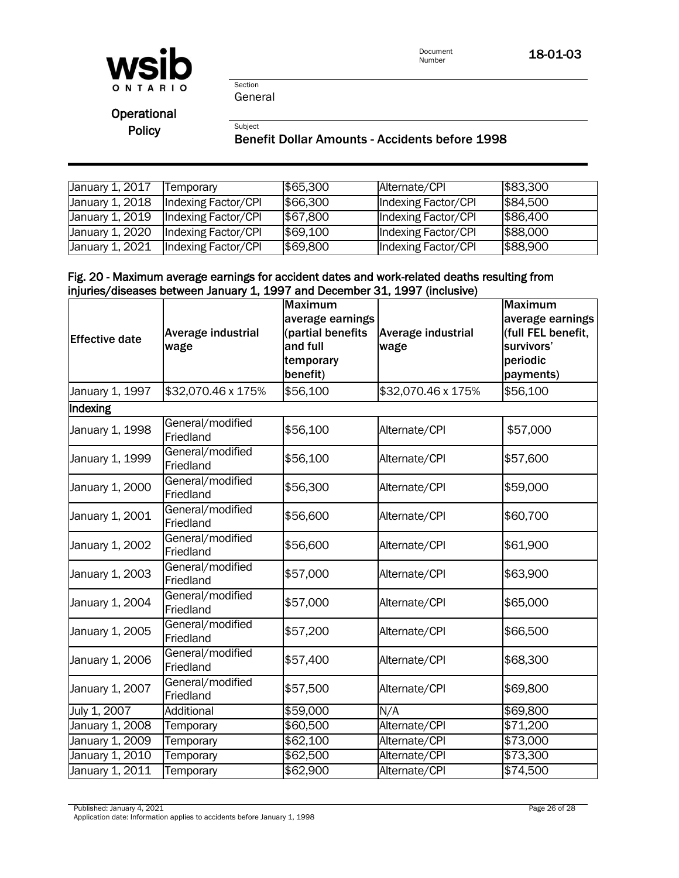

Section General

**Operational** 

## Policy<br>Benefit Dollar Amounts - Accidents before 1998

| January 1, 2017 | Temporary           | \$65,300 | Alternate/CPI       | \$83,300 |
|-----------------|---------------------|----------|---------------------|----------|
| January 1, 2018 | Indexing Factor/CPI | \$66,300 | Indexing Factor/CPI | \$84,500 |
| January 1, 2019 | Indexing Factor/CPI | \$67,800 | Indexing Factor/CPI | \$86,400 |
| January 1, 2020 | Indexing Factor/CPI | \$69,100 | Indexing Factor/CPI | \$88,000 |
| January 1, 2021 | Indexing Factor/CPI | \$69,800 | Indexing Factor/CPI | \$88,900 |

#### Fig. 20 - Maximum average earnings for accident dates and work-related deaths resulting from injuries/diseases between January 1, 1997 and December 31, 1997 (inclusive)

|                       |                               | <b>Maximum</b>    |                    | <b>Maximum</b>     |
|-----------------------|-------------------------------|-------------------|--------------------|--------------------|
|                       |                               | average earnings  |                    | average earnings   |
| <b>Effective date</b> | Average industrial            | (partial benefits | Average industrial | (full FEL benefit, |
|                       | wage                          | and full          | wage               | survivors'         |
|                       |                               | temporary         |                    | periodic           |
|                       |                               | benefit)          |                    | payments)          |
| January 1, 1997       | \$32,070.46 x 175%            | \$56,100          | \$32,070.46 x 175% | \$56,100           |
| Indexing              |                               |                   |                    |                    |
| January 1, 1998       | General/modified<br>Friedland | \$56,100          | Alternate/CPI      | \$57,000           |
| January 1, 1999       | General/modified<br>Friedland | \$56,100          | Alternate/CPI      | \$57,600           |
| January 1, 2000       | General/modified<br>Friedland | \$56,300          | Alternate/CPI      | \$59,000           |
| January 1, 2001       | General/modified<br>Friedland | \$56,600          | Alternate/CPI      | \$60,700           |
| January 1, 2002       | General/modified<br>Friedland | \$56,600          | Alternate/CPI      | \$61,900           |
| January 1, 2003       | General/modified<br>Friedland | \$57,000          | Alternate/CPI      | \$63,900           |
| January 1, 2004       | General/modified<br>Friedland | \$57,000          | Alternate/CPI      | \$65,000           |
| January 1, 2005       | General/modified<br>Friedland | \$57,200          | Alternate/CPI      | \$66,500           |
| January 1, 2006       | General/modified<br>Friedland | \$57,400          | Alternate/CPI      | \$68,300           |
| January 1, 2007       | General/modified<br>Friedland | \$57,500          | Alternate/CPI      | \$69,800           |
| July 1, 2007          | Additional                    | \$59,000          | N/A                | \$69,800           |
| January 1, 2008       | Temporary                     | \$60,500          | Alternate/CPI      | \$71,200           |
| January 1, 2009       | Temporary                     | \$62,100          | Alternate/CPI      | \$73,000           |
| January 1, 2010       | Temporary                     | \$62,500          | Alternate/CPI      | \$73,300           |
| January 1, 2011       | Temporary                     | \$62,900          | Alternate/CPI      | \$74,500           |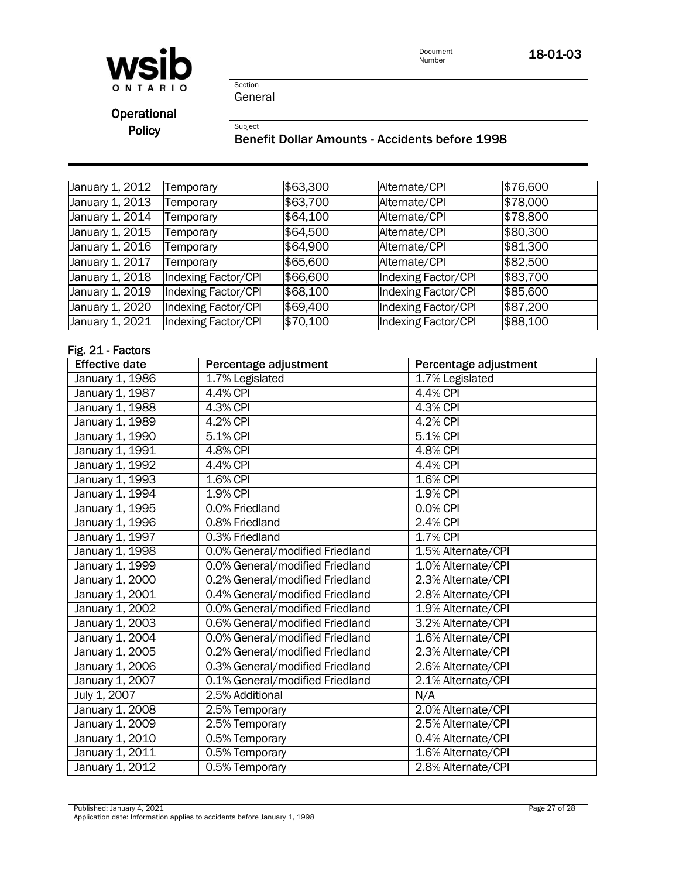

Section General

**Operational** 

Policy<br>Benefit Dollar Amounts - Accidents before 1998

| January 1, 2012 | Temporary           | \$63,300 | Alternate/CPI              | \$76,600 |
|-----------------|---------------------|----------|----------------------------|----------|
| January 1, 2013 | Temporary           | \$63,700 | Alternate/CPI              | \$78,000 |
| January 1, 2014 | Temporary           | \$64,100 | Alternate/CPI              | \$78,800 |
| January 1, 2015 | Temporary           | \$64,500 | Alternate/CPI              | \$80,300 |
| January 1, 2016 | Temporary           | \$64,900 | Alternate/CPI              | \$81,300 |
| January 1, 2017 | Temporary           | \$65,600 | Alternate/CPI              | \$82,500 |
| January 1, 2018 | Indexing Factor/CPI | \$66,600 | Indexing Factor/CPI        | \$83,700 |
| January 1, 2019 | Indexing Factor/CPI | \$68,100 | Indexing Factor/CPI        | \$85,600 |
| January 1, 2020 | Indexing Factor/CPI | \$69,400 | Indexing Factor/CPI        | \$87,200 |
| January 1, 2021 | Indexing Factor/CPI | \$70,100 | <b>Indexing Factor/CPI</b> | \$88,100 |
|                 |                     |          |                            |          |

#### Fig. 21 - Factors

| <b>Effective date</b> | Percentage adjustment           | Percentage adjustment |
|-----------------------|---------------------------------|-----------------------|
| January 1, 1986       | 1.7% Legislated                 | 1.7% Legislated       |
| January 1, 1987       | 4.4% CPI                        | 4.4% CPI              |
| January 1, 1988       | 4.3% CPI                        | 4.3% CPI              |
| January 1, 1989       | 4.2% CPI                        | 4.2% CPI              |
| January 1, 1990       | 5.1% CPI                        | 5.1% CPI              |
| January 1, 1991       | 4.8% CPI                        | 4.8% CPI              |
| January 1, 1992       | 4.4% CPI                        | 4.4% CPI              |
| January 1, 1993       | 1.6% CPI                        | 1.6% CPI              |
| January 1, 1994       | 1.9% CPI                        | 1.9% CPI              |
| January 1, 1995       | 0.0% Friedland                  | 0.0% CPI              |
| January 1, 1996       | 0.8% Friedland                  | 2.4% CPI              |
| January 1, 1997       | 0.3% Friedland                  | 1.7% CPI              |
| January 1, 1998       | 0.0% General/modified Friedland | 1.5% Alternate/CPI    |
| January 1, 1999       | 0.0% General/modified Friedland | 1.0% Alternate/CPI    |
| January 1, 2000       | 0.2% General/modified Friedland | 2.3% Alternate/CPI    |
| January 1, 2001       | 0.4% General/modified Friedland | 2.8% Alternate/CPI    |
| January 1, 2002       | 0.0% General/modified Friedland | 1.9% Alternate/CPI    |
| January 1, 2003       | 0.6% General/modified Friedland | 3.2% Alternate/CPI    |
| January 1, 2004       | 0.0% General/modified Friedland | 1.6% Alternate/CPI    |
| January 1, 2005       | 0.2% General/modified Friedland | 2.3% Alternate/CPI    |
| January 1, 2006       | 0.3% General/modified Friedland | 2.6% Alternate/CPI    |
| January 1, 2007       | 0.1% General/modified Friedland | 2.1% Alternate/CPI    |
| July 1, 2007          | 2.5% Additional                 | N/A                   |
| January 1, 2008       | 2.5% Temporary                  | 2.0% Alternate/CPI    |
| January 1, 2009       | 2.5% Temporary                  | 2.5% Alternate/CPI    |
| January 1, 2010       | 0.5% Temporary                  | 0.4% Alternate/CPI    |
| January 1, 2011       | 0.5% Temporary                  | 1.6% Alternate/CPI    |
| January 1, 2012       | 0.5% Temporary                  | 2.8% Alternate/CPI    |